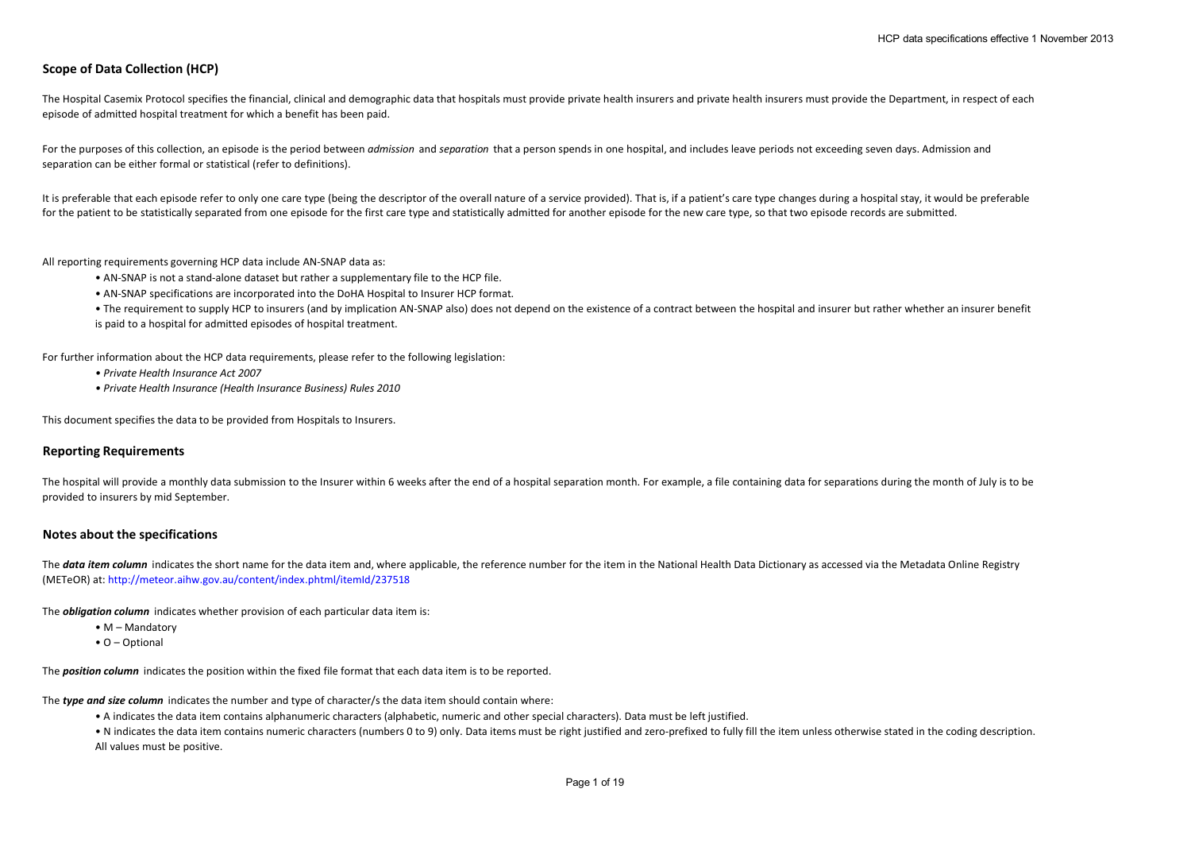# **Scope of Data Collection (HCP)**

The Hospital Casemix Protocol specifies the financial, clinical and demographic data that hospitals must provide private health insurers and private health insurers must provide the Department, in respect of each episode of admitted hospital treatment for which a benefit has been paid.

For the purposes of this collection, an episode is the period between *admission* and *separation* that a person spends in one hospital, and includes leave periods not exceeding seven days. Admission and separation can be either formal or statistical (refer to definitions).

It is preferable that each episode refer to only one care type (being the descriptor of the overall nature of a service provided). That is, if a patient's care type changes during a hospital stay, it would be preferable for the patient to be statistically separated from one episode for the first care type and statistically admitted for another episode for the new care type, so that two episode records are submitted.

All reporting requirements governing HCP data include AN-SNAP data as:

- AN-SNAP is not a stand-alone dataset but rather a supplementary file to the HCP file.
- AN-SNAP specifications are incorporated into the DoHA Hospital to Insurer HCP format.
- The requirement to supply HCP to insurers (and by implication AN-SNAP also) does not depend on the existence of a contract between the hospital and insurer but rather whether an insurer benefit is paid to a hospital for admitted episodes of hospital treatment.

For further information about the HCP data requirements, please refer to the following legislation:

- *Private Health Insurance Act 2007*
- *Private Health Insurance (Health Insurance Business) Rules 2010*

This document specifies the data to be provided from Hospitals to Insurers.

# **Reporting Requirements**

The hospital will provide a monthly data submission to the Insurer within 6 weeks after the end of a hospital separation month. For example, a file containing data for separations during the month of July is to be provided to insurers by mid September.

# **Notes about the specifications**

The **data item column** indicates the short name for the data item and, where applicable, the reference number for the item in the National Health Data Dictionary as accessed via the Metadata Online Registry (METeOR) at: http://meteor.aihw.gov.au/content/index.phtml/itemId/237518

The *obligation column* indicates whether provision of each particular data item is:

- M Mandatory
- O Optional

The *position column* indicates the position within the fixed file format that each data item is to be reported.

The *type and size column* indicates the number and type of character/s the data item should contain where:

• A indicates the data item contains alphanumeric characters (alphabetic, numeric and other special characters). Data must be left justified.

• N indicates the data item contains numeric characters (numbers 0 to 9) only. Data items must be right justified and zero-prefixed to fully fill the item unless otherwise stated in the coding description. All values must be positive.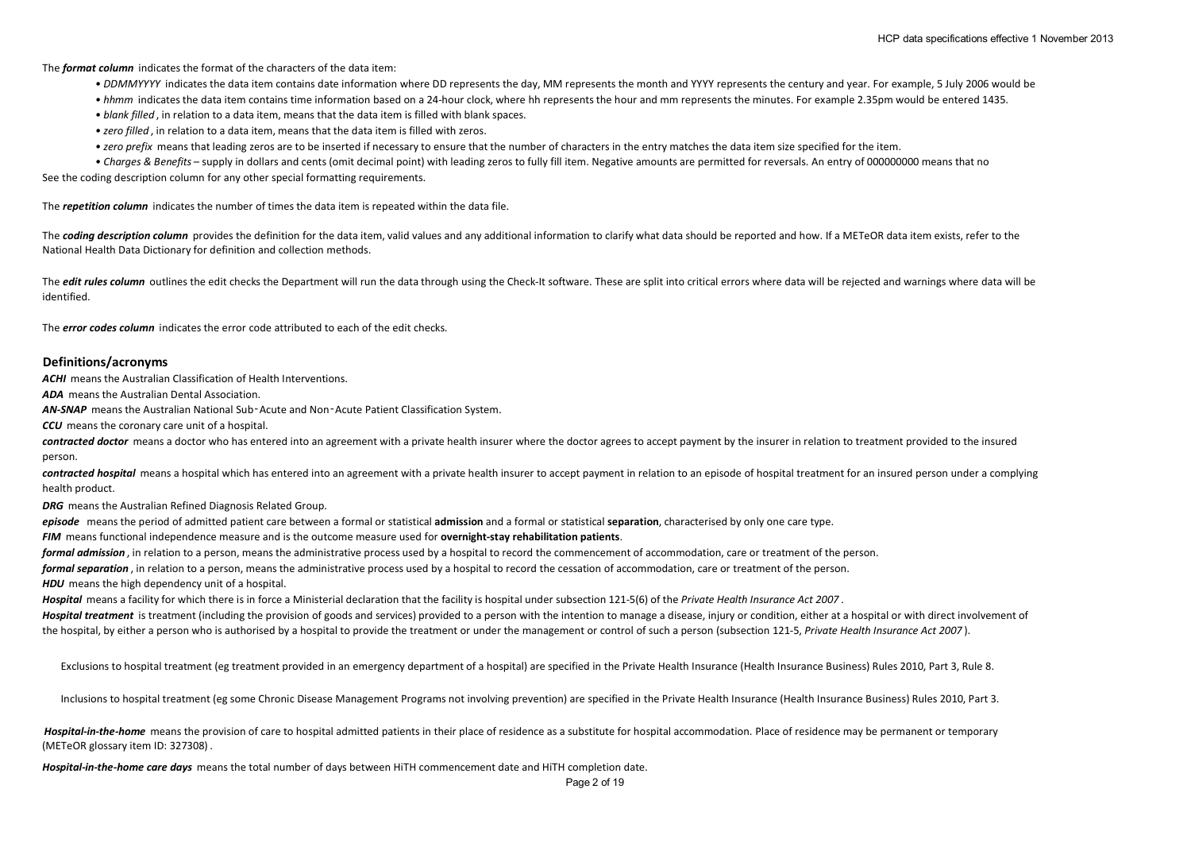The *format column* indicates the format of the characters of the data item:

- *DDMMYYYY* indicates the data item contains date information where DD represents the day, MM represents the month and YYYY represents the century and year. For example, 5 July 2006 would be
- *hhmm* indicates the data item contains time information based on a 24-hour clock, where hh represents the hour and mm represents the minutes. For example 2.35pm would be entered 1435.
- *blank filled* , in relation to a data item, means that the data item is filled with blank spaces.
- *zero filled* , in relation to a data item, means that the data item is filled with zeros.
- *zero prefix* means that leading zeros are to be inserted if necessary to ensure that the number of characters in the entry matches the data item size specified for the item.
- See the coding description column for any other special formatting requirements. *• Charges & Benefits* – supply in dollars and cents (omit decimal point) with leading zeros to fully fill item. Negative amounts are permitted for reversals. An entry of 000000000 means that no

The *repetition column* indicates the number of times the data item is repeated within the data file.

The **coding description column** provides the definition for the data item, valid values and any additional information to clarify what data should be reported and how. If a METeOR data item exists, refer to the National Health Data Dictionary for definition and collection methods.

The *edit rules column* outlines the edit checks the Department will run the data through using the Check-It software. These are split into critical errors where data will be rejected and warnings where data will be identified.

The *error codes column* indicates the error code attributed to each of the edit checks.

#### **Definitions/acronyms**

*ACHI* means the Australian Classification of Health Interventions.

*ADA* means the Australian Dental Association.

*AN-SNAP* means the Australian National Sub‑Acute and Non‑Acute Patient Classification System.

*CCU* means the coronary care unit of a hospital.

**contracted doctor** means a doctor who has entered into an agreement with a private health insurer where the doctor agrees to accept payment by the insurer in relation to treatment provided to the insured person.

contracted hospital means a hospital which has entered into an agreement with a private health insurer to accept payment in relation to an episode of hospital treatment for an insured person under a complying health product.

*DRG* means the Australian Refined Diagnosis Related Group.

*episode* means the period of admitted patient care between a formal or statistical **admission** and a formal or statistical **separation**, characterised by only one care type.

*FIM* means functional independence measure and is the outcome measure used for **overnight-stay rehabilitation patients**.

*formal admission* , in relation to a person, means the administrative process used by a hospital to record the commencement of accommodation, care or treatment of the person.

*formal separation* , in relation to a person, means the administrative process used by a hospital to record the cessation of accommodation, care or treatment of the person.

**HDU** means the high dependency unit of a hospital.

*Hospital* means a facility for which there is in force a Ministerial declaration that the facility is hospital under subsection 121-5(6) of the *Private Health Insurance Act 2007* .

Hospital treatment is treatment (including the provision of goods and services) provided to a person with the intention to manage a disease, injury or condition, either at a hospital or with direct involvement of the hospital, by either a person who is authorised by a hospital to provide the treatment or under the management or control of such a person (subsection 121-5, *Private Health Insurance Act 2007* ).

Exclusions to hospital treatment (eg treatment provided in an emergency department of a hospital) are specified in the Private Health Insurance (Health Insurance Business) Rules 2010, Part 3, Rule 8.

Inclusions to hospital treatment (eg some Chronic Disease Management Programs not involving prevention) are specified in the Private Health Insurance (Health Insurance Business) Rules 2010, Part 3.

Hospital-in-the-home means the provision of care to hospital admitted patients in their place of residence as a substitute for hospital accommodation. Place of residence may be permanent or temporary (METeOR glossary item ID: 327308) .

*Hospital-in-the-home care days* means the total number of days between HiTH commencement date and HiTH completion date.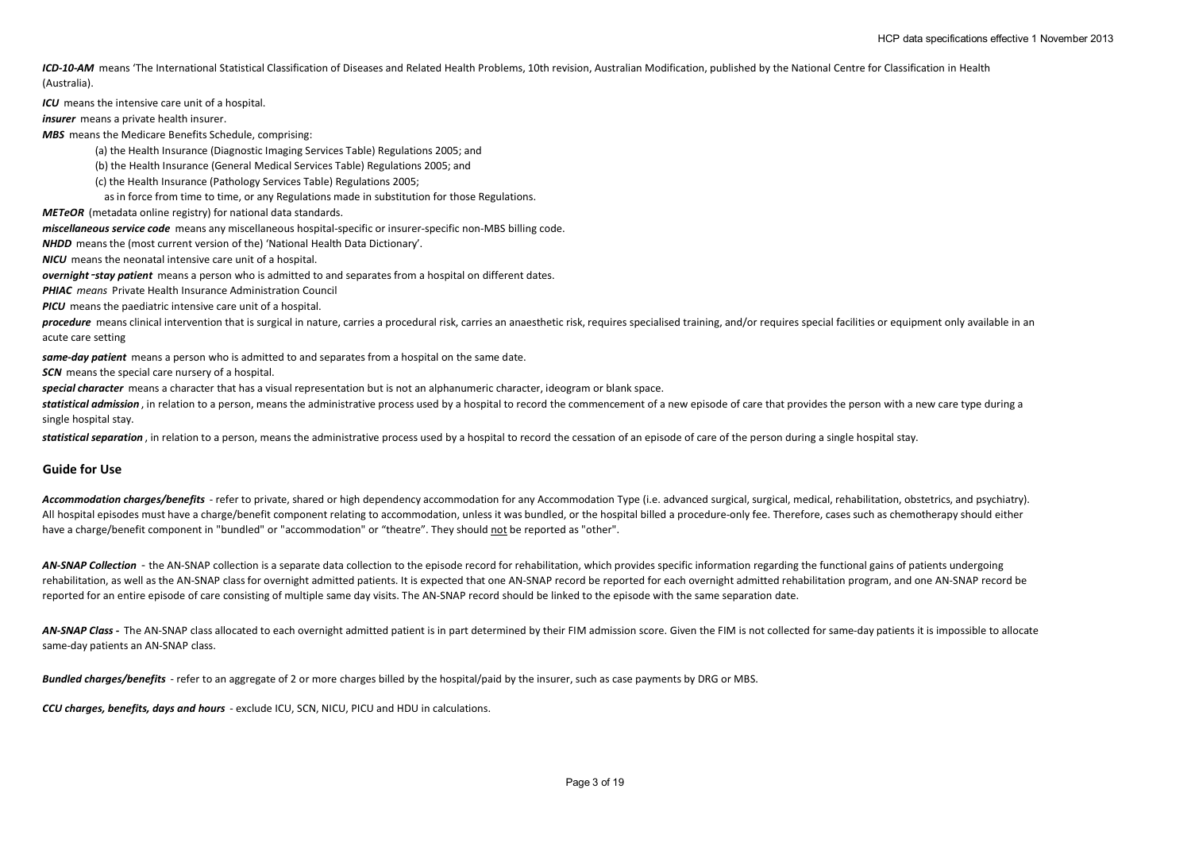ICD-10-AM means 'The International Statistical Classification of Diseases and Related Health Problems, 10th revision, Australian Modification, published by the National Centre for Classification in Health (Australia).

*ICU* means the intensive care unit of a hospital.

*insurer* means a private health insurer.

*MBS* means the Medicare Benefits Schedule, comprising:

(a) the Health Insurance (Diagnostic Imaging Services Table) Regulations 2005; and

(b) the Health Insurance (General Medical Services Table) Regulations 2005; and

(c) the Health Insurance (Pathology Services Table) Regulations 2005;

as in force from time to time, or any Regulations made in substitution for those Regulations.

*METeOR* (metadata online registry) for national data standards.

*miscellaneous service code* means any miscellaneous hospital-specific or insurer-specific non-MBS billing code.

*NHDD* means the (most current version of the) 'National Health Data Dictionary'.

*NICU* means the neonatal intensive care unit of a hospital.

*overnight*‑*stay patient* means a person who is admitted to and separates from a hospital on different dates.

*PHIAC means* Private Health Insurance Administration Council

*PICU* means the paediatric intensive care unit of a hospital.

procedure means clinical intervention that is surgical in nature, carries a procedural risk, carries an anaesthetic risk, requires specialised training, and/or requires special facilities or equipment only available in an acute care setting

*same-day patient* means a person who is admitted to and separates from a hospital on the same date.

**SCN** means the special care nursery of a hospital.

*special character* means a character that has a visual representation but is not an alphanumeric character, ideogram or blank space.

statistical admission, in relation to a person, means the administrative process used by a hospital to record the commencement of a new episode of care that provides the person with a new care type during a single hospital stay.

*statistical separation* , in relation to a person, means the administrative process used by a hospital to record the cessation of an episode of care of the person during a single hospital stay.

#### **Guide for Use**

Accommodation charges/benefits - refer to private, shared or high dependency accommodation for any Accommodation Type (i.e. advanced surgical, surgical, medical, rehabilitation, obstetrics, and psychiatry). All hospital episodes must have a charge/benefit component relating to accommodation, unless it was bundled, or the hospital billed a procedure-only fee. Therefore, cases such as chemotherapy should either have a charge/benefit component in "bundled" or "accommodation" or "theatre". They should not be reported as "other".

AN-SNAP Collection - the AN-SNAP collection is a separate data collection to the episode record for rehabilitation, which provides specific information regarding the functional gains of patients undergoing rehabilitation, as well as the AN-SNAP class for overnight admitted patients. It is expected that one AN-SNAP record be reported for each overnight admitted rehabilitation program, and one AN-SNAP record be reported for an entire episode of care consisting of multiple same day visits. The AN-SNAP record should be linked to the episode with the same separation date.

AN-SNAP Class - The AN-SNAP class allocated to each overnight admitted patient is in part determined by their FIM admission score. Given the FIM is not collected for same-day patients it is impossible to allocate same-day patients an AN-SNAP class.

*Bundled charges/benefits* - refer to an aggregate of 2 or more charges billed by the hospital/paid by the insurer, such as case payments by DRG or MBS.

*CCU charges, benefits, days and hours* - exclude ICU, SCN, NICU, PICU and HDU in calculations.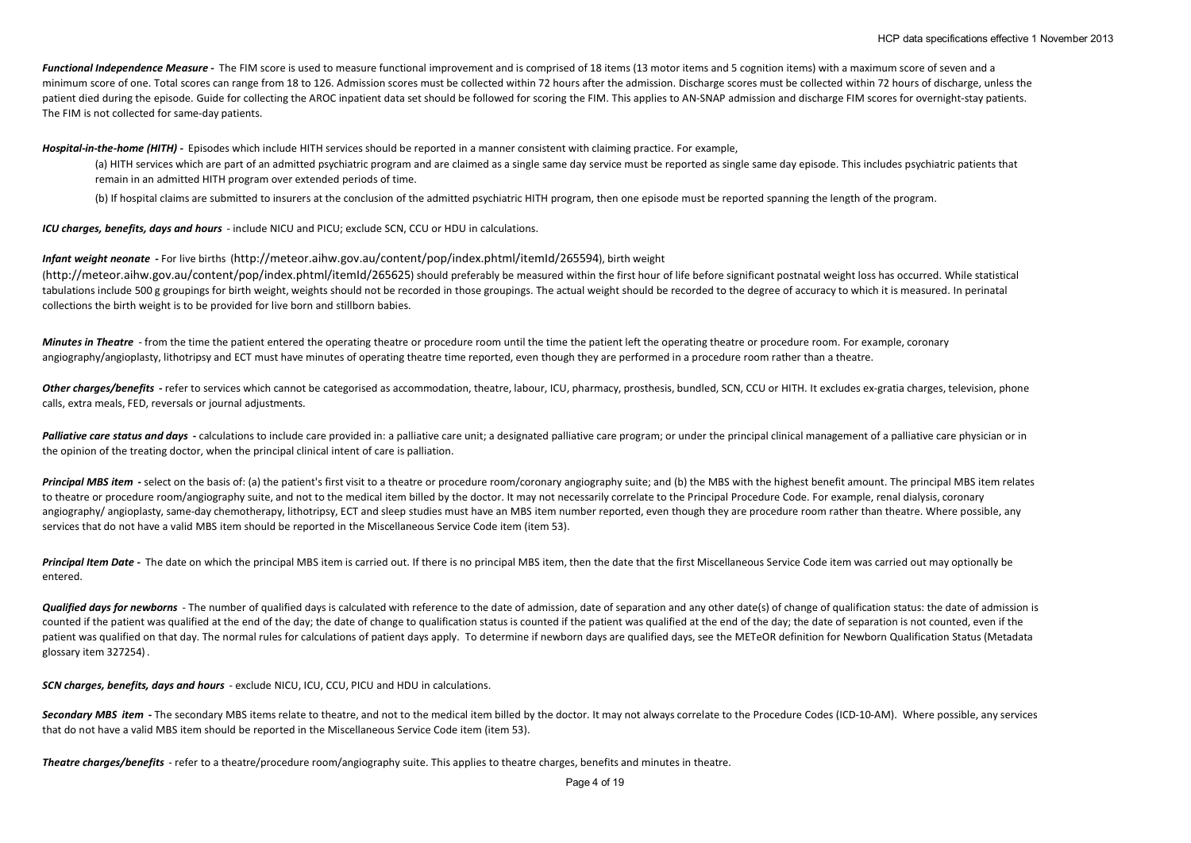*Functional Independence Measure -* The FIM score is used to measure functional improvement and is comprised of 18 items (13 motor items and 5 cognition items) with a maximum score of seven and a minimum score of one. Total scores can range from 18 to 126. Admission scores must be collected within 72 hours after the admission. Discharge scores must be collected within 72 hours of discharge, unless the patient died during the episode. Guide for collecting the AROC inpatient data set should be followed for scoring the FIM. This applies to AN-SNAP admission and discharge FIM scores for overnight-stay patients. The FIM is not collected for same-day patients.

*Hospital-in-the-home (HITH) -* Episodes which include HITH services should be reported in a manner consistent with claiming practice. For example,

(a) HITH services which are part of an admitted psychiatric program and are claimed as a single same day service must be reported as single same day episode. This includes psychiatric patients that remain in an admitted HITH program over extended periods of time.

(b) If hospital claims are submitted to insurers at the conclusion of the admitted psychiatric HITH program, then one episode must be reported spanning the length of the program.

*ICU charges, benefits, days and hours* - include NICU and PICU; exclude SCN, CCU or HDU in calculations.

*Infant weight neonate* **-** For live births (http://meteor.aihw.gov.au/content/pop/index.phtml/itemId/265594), birth weight

(http://meteor.aihw.gov.au/content/pop/index.phtml/itemId/265625) should preferably be measured within the first hour of life before significant postnatal weight loss has occurred. While statistical tabulations include 500 g groupings for birth weight, weights should not be recorded in those groupings. The actual weight should be recorded to the degree of accuracy to which it is measured. In perinatal collections the birth weight is to be provided for live born and stillborn babies.

*Minutes in Theatre* - from the time the patient entered the operating theatre or procedure room until the time the patient left the operating theatre or procedure room. For example, coronary angiography/angioplasty, lithotripsy and ECT must have minutes of operating theatre time reported, even though they are performed in a procedure room rather than a theatre.

Other charges/benefits - refer to services which cannot be categorised as accommodation, theatre, labour, ICU, pharmacy, prosthesis, bundled, SCN, CCU or HITH. It excludes ex-gratia charges, television, phone calls, extra meals, FED, reversals or journal adjustments.

**Palliative care status and days** - calculations to include care provided in: a palliative care unit; a designated palliative care program; or under the principal clinical management of a palliative care physician or in the opinion of the treating doctor, when the principal clinical intent of care is palliation.

Principal MBS item - select on the basis of: (a) the patient's first visit to a theatre or procedure room/coronary angiography suite; and (b) the MBS with the highest benefit amount. The principal MBS item relates to theatre or procedure room/angiography suite, and not to the medical item billed by the doctor. It may not necessarily correlate to the Principal Procedure Code. For example, renal dialysis, coronary angiography/ angioplasty, same-day chemotherapy, lithotripsy, ECT and sleep studies must have an MBS item number reported, even though they are procedure room rather than theatre. Where possible, any services that do not have a valid MBS item should be reported in the Miscellaneous Service Code item (item 53).

Principal Item Date - The date on which the principal MBS item is carried out. If there is no principal MBS item, then the date that the first Miscellaneous Service Code item was carried out may optionally be entered.

Qualified days for newborns - The number of qualified days is calculated with reference to the date of admission, date of separation and any other date(s) of change of qualification status: the date of admission is counted if the patient was qualified at the end of the day; the date of change to qualification status is counted if the patient was qualified at the end of the day; the date of separation is not counted, even if the patient was qualified on that day. The normal rules for calculations of patient days apply. To determine if newborn days are qualified days, see the METeOR definition for Newborn Qualification Status (Metadata glossary item 327254) .

*SCN charges, benefits, days and hours* - exclude NICU, ICU, CCU, PICU and HDU in calculations.

Secondary MBS item - The secondary MBS items relate to theatre, and not to the medical item billed by the doctor. It may not always correlate to the Procedure Codes (ICD-10-AM). Where possible, any services that do not have a valid MBS item should be reported in the Miscellaneous Service Code item (item 53).

*Theatre charges/benefits* - refer to a theatre/procedure room/angiography suite. This applies to theatre charges, benefits and minutes in theatre.

Page 4 of 19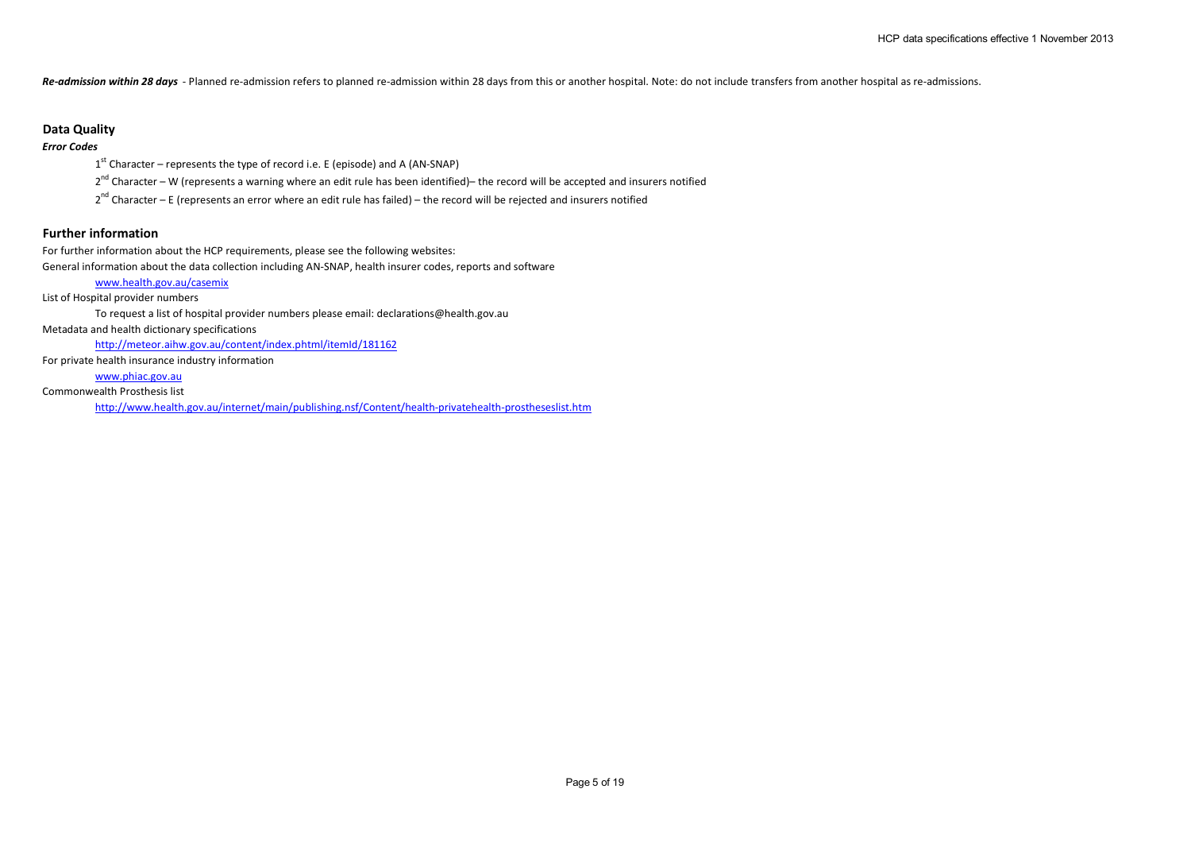*Re-admission within 28 days* - Planned re-admission refers to planned re-admission within 28 days from this or another hospital. Note: do not include transfers from another hospital as re-admissions.

### **Data Quality**

## *Error Codes*

 $1<sup>st</sup>$  Character – represents the type of record i.e. E (episode) and A (AN-SNAP)

 $2^{nd}$  Character – W (represents a warning where an edit rule has been identified)– the record will be accepted and insurers notified

 $2^{nd}$  Character – E (represents an error where an edit rule has failed) – the record will be rejected and insurers notified

### **Further information**

For further information about the HCP requirements, please see the following websites:

General information about the data collection including AN-SNAP, health insurer codes, reports and software

### www.health.gov.au/casemix

List of Hospital provider numbers

To request a list of hospital provider numbers please email: declarations@health.gov.au

Metadata and health dictionary specifications

http://meteor.aihw.gov.au/content/index.phtml/itemId/181162

For private health insurance industry information

www.phiac.gov.au

Commonwealth Prosthesis list

http://www.health.gov.au/internet/main/publishing.nsf/Content/health-privatehealth-prostheseslist.htm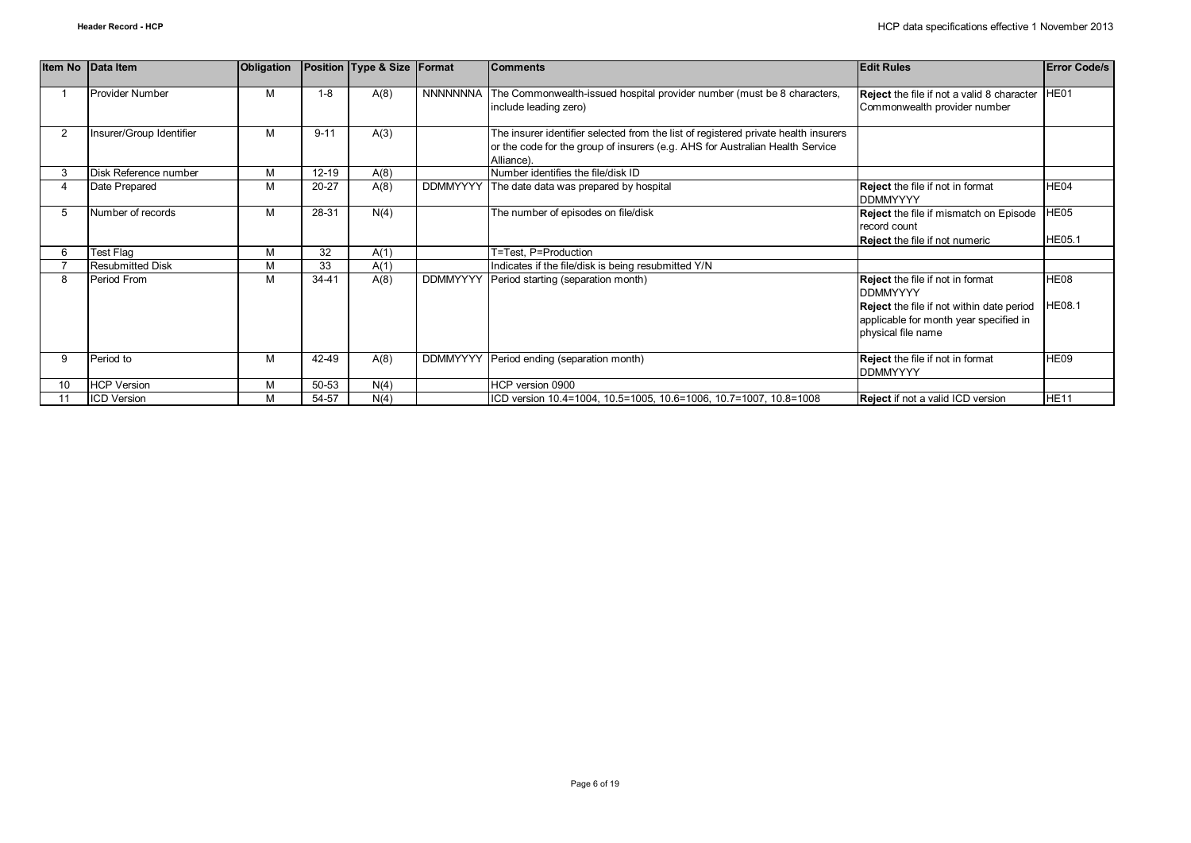|                | Item No Data Item        | Obligation |           | Position Type & Size | Format          | <b>Comments</b>                                                                                                                                                                    | <b>Edit Rules</b>                                                                                                                                                       | <b>Error Code/s</b>   |
|----------------|--------------------------|------------|-----------|----------------------|-----------------|------------------------------------------------------------------------------------------------------------------------------------------------------------------------------------|-------------------------------------------------------------------------------------------------------------------------------------------------------------------------|-----------------------|
|                | <b>Provider Number</b>   | M          | $1 - 8$   | A(8)                 | <b>NNNNNNNA</b> | The Commonwealth-issued hospital provider number (must be 8 characters,<br>include leading zero)                                                                                   | Reject the file if not a valid 8 character   HE01<br>Commonwealth provider number                                                                                       |                       |
| $\overline{2}$ | Insurer/Group Identifier | M          | $9 - 11$  | A(3)                 |                 | The insurer identifier selected from the list of registered private health insurers<br>or the code for the group of insurers (e.g. AHS for Australian Health Service<br>Alliance). |                                                                                                                                                                         |                       |
|                | Disk Reference number    | M          | $12 - 19$ | A(8)                 |                 | Number identifies the file/disk ID                                                                                                                                                 |                                                                                                                                                                         |                       |
|                | Date Prepared            | M          | $20 - 27$ | A(8)                 | <b>DDMMYYYY</b> | The date data was prepared by hospital                                                                                                                                             | <b>Reject</b> the file if not in format<br><b>DDMMYYYY</b>                                                                                                              | HE04                  |
| 5              | Number of records        | M          | 28-31     | N(4)                 |                 | The number of episodes on file/disk                                                                                                                                                | <b>Reject</b> the file if mismatch on Episode<br>record count<br><b>Reject</b> the file if not numeric                                                                  | HE05<br><b>HE05.1</b> |
|                | Test Flag                | M          | 32        | A(1)                 |                 | T=Test, P=Production                                                                                                                                                               |                                                                                                                                                                         |                       |
|                | <b>Resubmitted Disk</b>  | M          | 33        | A(1)                 |                 | Indicates if the file/disk is being resubmitted Y/N                                                                                                                                |                                                                                                                                                                         |                       |
| 8              | Period From              | м          | 34-41     | A(8)                 | <b>DDMMYYYY</b> | Period starting (separation month)                                                                                                                                                 | <b>Reject</b> the file if not in format<br><b>DDMMYYYY</b><br>Reject the file if not within date period<br>applicable for month year specified in<br>physical file name | HE08<br><b>HE08.1</b> |
| 9              | Period to                | м          | 42-49     | A(8)                 | <b>DDMMYYYY</b> | Period ending (separation month)                                                                                                                                                   | <b>Reject</b> the file if not in format<br><b>DDMMYYYY</b>                                                                                                              | HE09                  |
| 10             | <b>HCP Version</b>       | M          | 50-53     | N(4)                 |                 | HCP version 0900                                                                                                                                                                   |                                                                                                                                                                         |                       |
|                | <b>ICD Version</b>       | M          | 54-57     | N(4)                 |                 | ICD version 10.4=1004, 10.5=1005, 10.6=1006, 10.7=1007, 10.8=1008                                                                                                                  | Reject if not a valid ICD version                                                                                                                                       | HE <sub>11</sub>      |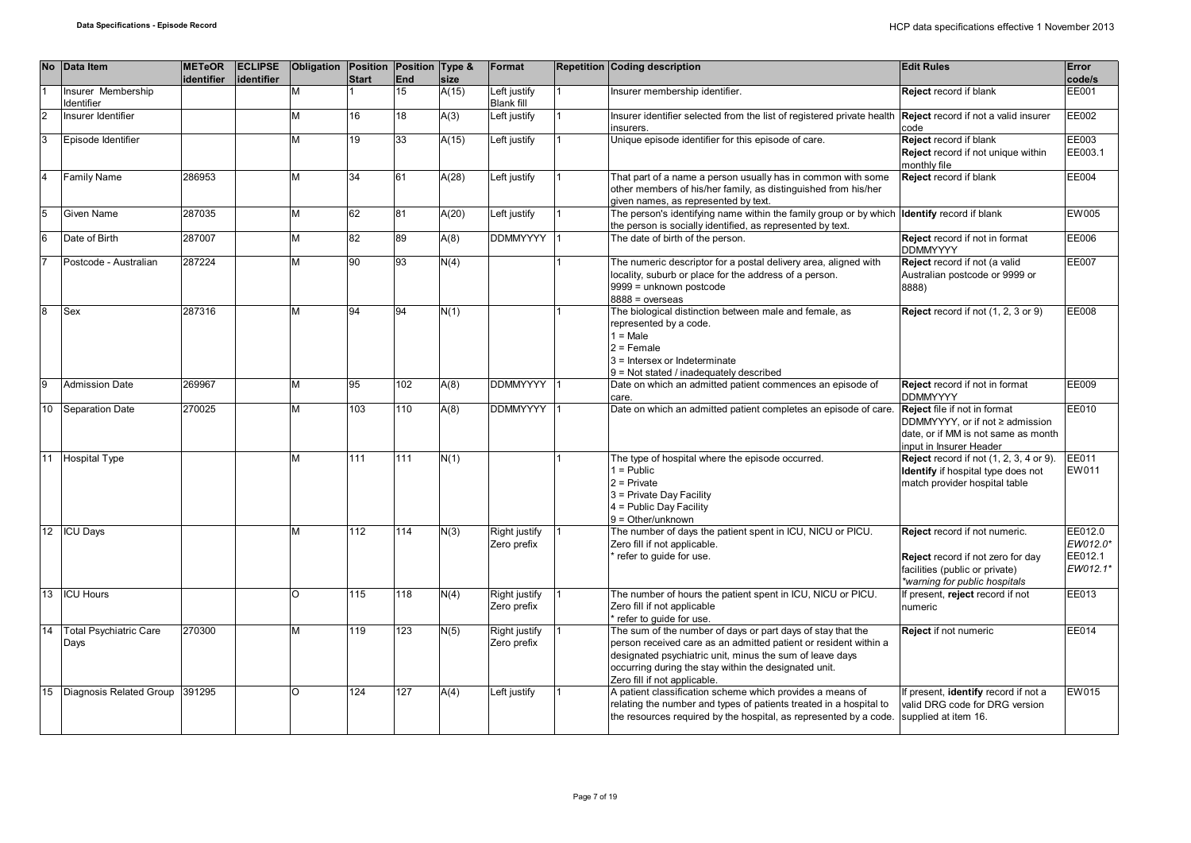|                | No Data Item                            | <b>METeOR</b><br>identifier | <b>ECLIPSE</b><br>lidentifier | Obligation Position Position Type & | <b>Start</b>     | End | size  | Format                            |                | <b>Repetition Coding description</b>                                                                                                                                                                                                                                                 | <b>Edit Rules</b>                                                                                                                        | Error<br>code/s                            |
|----------------|-----------------------------------------|-----------------------------|-------------------------------|-------------------------------------|------------------|-----|-------|-----------------------------------|----------------|--------------------------------------------------------------------------------------------------------------------------------------------------------------------------------------------------------------------------------------------------------------------------------------|------------------------------------------------------------------------------------------------------------------------------------------|--------------------------------------------|
|                | Insurer Membership<br><b>Identifier</b> |                             |                               | M                                   |                  | 15  | A(15) | Left justify<br><b>Blank fill</b> |                | Insurer membership identifier.                                                                                                                                                                                                                                                       | Reject record if blank                                                                                                                   | <b>EE001</b>                               |
| $\overline{2}$ | Insurer Identifier                      |                             |                               | M                                   | 16               | 18  | A(3)  | Left justify                      |                | Insurer identifier selected from the list of registered private health<br>insurers.                                                                                                                                                                                                  | <b>Reject</b> record if not a valid insurer<br>code                                                                                      | EE002                                      |
| lз             | Episode Identifier                      |                             |                               | M                                   | 19               | 33  | A(15) | Left justify                      |                | Unique episode identifier for this episode of care.                                                                                                                                                                                                                                  | Reject record if blank<br>Reject record if not unique within<br>monthly file                                                             | EE003<br>EE003.1                           |
| I⊿             | <b>Family Name</b>                      | 286953                      |                               | M                                   | 34               | 61  | A(28) | Left justify                      | $\overline{1}$ | That part of a name a person usually has in common with some<br>other members of his/her family, as distinguished from his/her<br>given names, as represented by text.                                                                                                               | Reject record if blank                                                                                                                   | <b>EE004</b>                               |
| 15             | Given Name                              | 287035                      |                               | M                                   | 62               | 81  | A(20) | Left justify                      |                | The person's identifying name within the family group or by which<br>the person is socially identified, as represented by text.                                                                                                                                                      | <b>Identify</b> record if blank                                                                                                          | <b>EW005</b>                               |
| 6              | Date of Birth                           | 287007                      |                               | M                                   | 82               | 89  | A(8)  | DDMMYYYY                          |                | The date of birth of the person.                                                                                                                                                                                                                                                     | Reject record if not in format<br><b>DDMMYYYY</b>                                                                                        | EE006                                      |
|                | Postcode - Australian                   | 287224                      |                               | M                                   | 90               | 93  | N(4)  |                                   |                | The numeric descriptor for a postal delivery area, aligned with<br>locality, suburb or place for the address of a person.<br>9999 = unknown postcode<br>$8888 = 0$ verseas                                                                                                           | Reject record if not (a valid<br>Australian postcode or 9999 or<br>8888)                                                                 | <b>EE007</b>                               |
| lя             | Sex                                     | 287316                      |                               | M                                   | 94               | 94  | N(1)  |                                   |                | The biological distinction between male and female, as<br>represented by a code.<br>$1 = Male$<br>$2$ = Female<br>3 = Intersex or Indeterminate<br>9 = Not stated / inadequately described                                                                                           | Reject record if not (1, 2, 3 or 9)                                                                                                      | <b>EE008</b>                               |
| <b>g</b>       | <b>Admission Date</b>                   | 269967                      |                               | M                                   | 95               | 102 | A(8)  | DDMMYYYY 1                        |                | Date on which an admitted patient commences an episode of<br>care.                                                                                                                                                                                                                   | Reject record if not in format<br><b>DDMMYYYY</b>                                                                                        | EE009                                      |
| 10             | <b>Separation Date</b>                  | 270025                      |                               | M                                   | 103              | 110 | A(8)  | <b>DDMMYYYY</b>                   |                | Date on which an admitted patient completes an episode of care.                                                                                                                                                                                                                      | <b>Reject</b> file if not in format<br>DDMMYYYY, or if not ≥ admission<br>date, or if MM is not same as month<br>input in Insurer Header | EE010                                      |
| 11             | <b>Hospital Type</b>                    |                             |                               | M                                   | 111              | 111 | N(1)  |                                   |                | The type of hospital where the episode occurred.<br>$1 =$ Public<br>$2$ = Private<br>3 = Private Day Facility<br>4 = Public Day Facility<br>$9 = Other/unknown$                                                                                                                      | <b>Reject</b> record if not (1, 2, 3, 4 or 9).<br>Identify if hospital type does not<br>match provider hospital table                    | EE011<br><b>EW011</b>                      |
|                | 12 ICU Days                             |                             |                               | M                                   | $\overline{112}$ | 114 | N(3)  | Right justify<br>Zero prefix      |                | The number of days the patient spent in ICU, NICU or PICU.<br>Zero fill if not applicable.<br>refer to guide for use.                                                                                                                                                                | Reject record if not numeric.<br>Reject record if not zero for day<br>facilities (public or private)<br>*warning for public hospitals    | EE012.0<br>EW012.0*<br>EE012.1<br>EW012.1* |
| 13             | <b>ICU Hours</b>                        |                             |                               | $\circ$                             | 115              | 118 | N(4)  | Right justify<br>Zero prefix      |                | The number of hours the patient spent in ICU, NICU or PICU.<br>Zero fill if not applicable<br>refer to quide for use.                                                                                                                                                                | If present, reject record if not<br>numeric                                                                                              | EE013                                      |
| 14             | <b>Total Psychiatric Care</b><br>Days   | 270300                      |                               | M                                   | 119              | 123 | N(5)  | Right justify<br>Zero prefix      |                | The sum of the number of days or part days of stay that the<br>person received care as an admitted patient or resident within a<br>designated psychiatric unit, minus the sum of leave days<br>occurring during the stay within the designated unit.<br>Zero fill if not applicable. | Reject if not numeric                                                                                                                    | <b>EE014</b>                               |
| 15             | Diagnosis Related Group 391295          |                             |                               | $\circ$                             | 124              | 127 | A(4)  | Left justify                      |                | A patient classification scheme which provides a means of<br>relating the number and types of patients treated in a hospital to<br>the resources required by the hospital, as represented by a code.                                                                                 | If present, identify record if not a<br>valid DRG code for DRG version<br>supplied at item 16.                                           | <b>EW015</b>                               |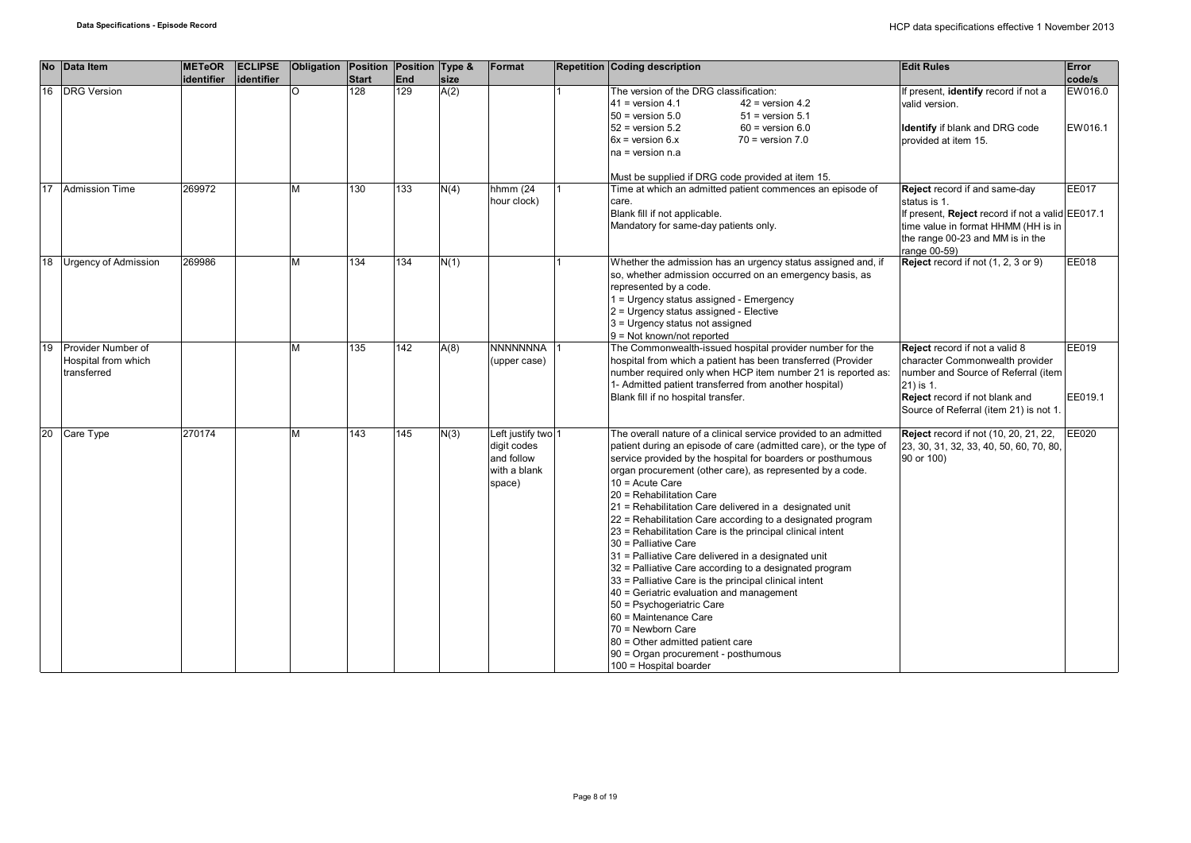| <b>No</b> | Data Item                                                | <b>METeOR</b> | <b>ECLIPSE</b> | Obligation Position Position Type & |                     |            |              | Format                                                                    | <b>Repetition Coding description</b>                                                                                                                                                                                                                                                                                                                                                                                                                                                                                                                                                                                                                                                                                                                                                                                                                                                                                                   | <b>Edit Rules</b>                                                                                                                                                                                   | Error                        |
|-----------|----------------------------------------------------------|---------------|----------------|-------------------------------------|---------------------|------------|--------------|---------------------------------------------------------------------------|----------------------------------------------------------------------------------------------------------------------------------------------------------------------------------------------------------------------------------------------------------------------------------------------------------------------------------------------------------------------------------------------------------------------------------------------------------------------------------------------------------------------------------------------------------------------------------------------------------------------------------------------------------------------------------------------------------------------------------------------------------------------------------------------------------------------------------------------------------------------------------------------------------------------------------------|-----------------------------------------------------------------------------------------------------------------------------------------------------------------------------------------------------|------------------------------|
| 16        | <b>DRG Version</b>                                       | identifier    | lidentifier    | $\circ$                             | <b>Start</b><br>128 | End<br>129 | size<br>A(2) |                                                                           | The version of the DRG classification:<br>$41$ = version 4.1<br>$42$ = version 4.2<br>$50$ = version $5.0$<br>$51$ = version $5.1$<br>$52$ = version $5.2$<br>$60$ = version $6.0$<br>$6x =$ version $6.x$<br>$70$ = version $7.0$<br>$na = version n.a$<br>Must be supplied if DRG code provided at item 15.                                                                                                                                                                                                                                                                                                                                                                                                                                                                                                                                                                                                                          | If present, identify record if not a<br>valid version.<br>Identify if blank and DRG code<br>provided at item 15.                                                                                    | code/s<br>EW016.0<br>EW016.1 |
| 17        | <b>Admission Time</b>                                    | 269972        |                | м                                   | 130                 | 133        | N(4)         | hhmm $(24)$<br>hour clock)                                                | Time at which an admitted patient commences an episode of<br>care.<br>Blank fill if not applicable.<br>Mandatory for same-day patients only.                                                                                                                                                                                                                                                                                                                                                                                                                                                                                                                                                                                                                                                                                                                                                                                           | <b>Reject</b> record if and same-day<br>status is 1.<br>If present, Reject record if not a valid EE017.1<br>time value in format HHMM (HH is in<br>the range 00-23 and MM is in the<br>range 00-59) | <b>EE017</b>                 |
| 18        | <b>Urgency of Admission</b>                              | 269986        |                | м                                   | 134                 | 134        | N(1)         |                                                                           | Whether the admission has an urgency status assigned and, if<br>so, whether admission occurred on an emergency basis, as<br>represented by a code.<br>1 = Urgency status assigned - Emergency<br>2 = Urgency status assigned - Elective<br>3 = Urgency status not assigned<br>$9 = Not known/not reported$                                                                                                                                                                                                                                                                                                                                                                                                                                                                                                                                                                                                                             | Reject record if not (1, 2, 3 or 9)                                                                                                                                                                 | EE018                        |
| 19        | Provider Number of<br>Hospital from which<br>transferred |               |                | м                                   | 135                 | 142        | A(8)         | <b>NNNNNNNA</b><br>(upper case)                                           | The Commonwealth-issued hospital provider number for the<br>hospital from which a patient has been transferred (Provider<br>number required only when HCP item number 21 is reported as:<br>1- Admitted patient transferred from another hospital)<br>Blank fill if no hospital transfer.                                                                                                                                                                                                                                                                                                                                                                                                                                                                                                                                                                                                                                              | Reject record if not a valid 8<br>character Commonwealth provider<br>number and Source of Referral (item<br>21) is 1.<br>Reject record if not blank and<br>Source of Referral (item 21) is not 1.   | EE019<br>EE019.1             |
| 20        | Care Type                                                | 270174        |                | м                                   | 143                 | 145        | N(3)         | Left justify two 1<br>digit codes<br>and follow<br>with a blank<br>space) | The overall nature of a clinical service provided to an admitted<br>patient during an episode of care (admitted care), or the type of<br>service provided by the hospital for boarders or posthumous<br>organ procurement (other care), as represented by a code.<br>$10 =$ Acute Care<br>20 = Rehabilitation Care<br>21 = Rehabilitation Care delivered in a designated unit<br>22 = Rehabilitation Care according to a designated program<br>23 = Rehabilitation Care is the principal clinical intent<br>30 = Palliative Care<br>31 = Palliative Care delivered in a designated unit<br>32 = Palliative Care according to a designated program<br>33 = Palliative Care is the principal clinical intent<br>40 = Geriatric evaluation and management<br>50 = Psychogeriatric Care<br>60 = Maintenance Care<br>70 = Newborn Care<br>80 = Other admitted patient care<br>90 = Organ procurement - posthumous<br>100 = Hospital boarder | <b>Reject</b> record if not (10, 20, 21, 22,<br>23, 30, 31, 32, 33, 40, 50, 60, 70, 80,<br>90 or 100)                                                                                               | <b>EE020</b>                 |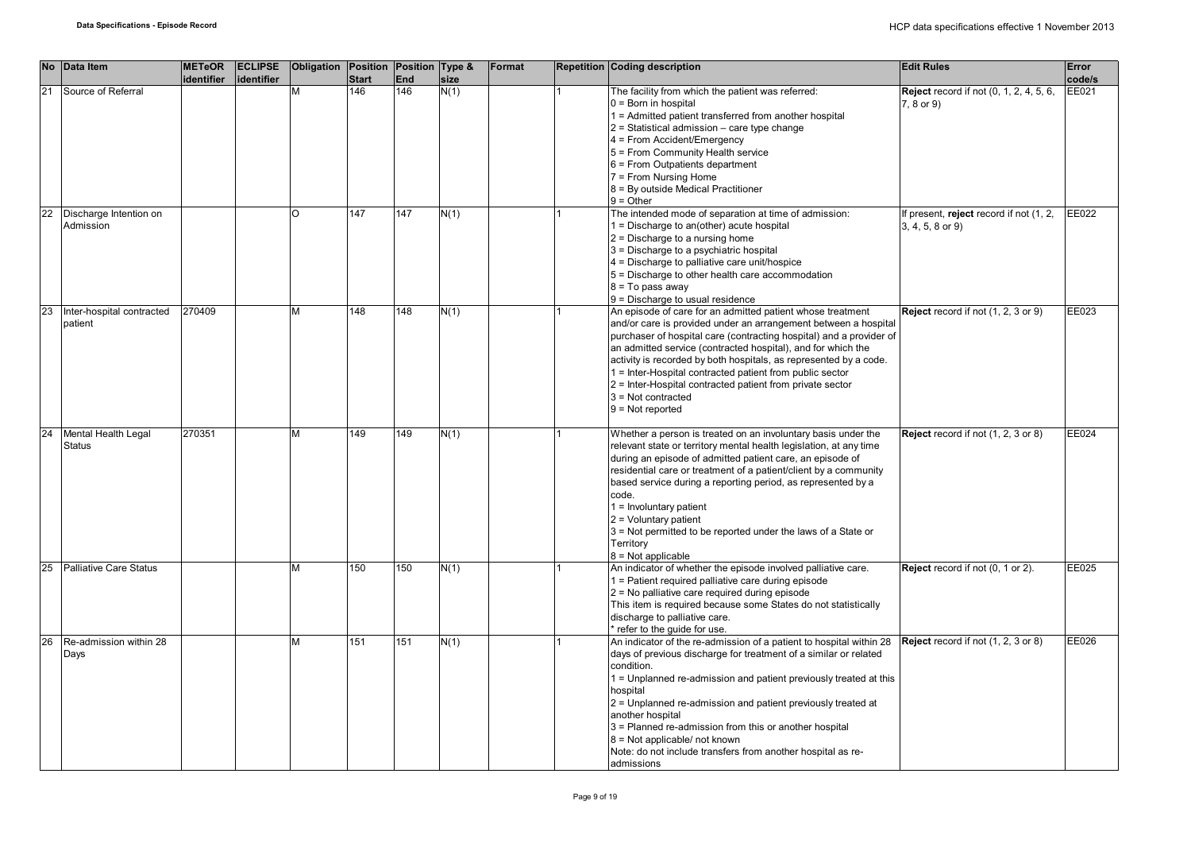| <b>No</b> | Data Item                            | <b>METeOR</b><br>identifier | <b>ECLIPSE</b><br>identifier | Obligation Position Position Type & | <b>Start</b> | End | size | Format | <b>Repetition Coding description</b>                                                                                                                                                                                                                                                                                                                                                                                                                                                                             | <b>Edit Rules</b>                                                | Error<br>code/s |
|-----------|--------------------------------------|-----------------------------|------------------------------|-------------------------------------|--------------|-----|------|--------|------------------------------------------------------------------------------------------------------------------------------------------------------------------------------------------------------------------------------------------------------------------------------------------------------------------------------------------------------------------------------------------------------------------------------------------------------------------------------------------------------------------|------------------------------------------------------------------|-----------------|
| 21        | Source of Referral                   |                             |                              |                                     | 146          | 146 | N(1) |        | The facility from which the patient was referred:<br>$0 = Born$ in hospital<br>1 = Admitted patient transferred from another hospital<br>$2$ = Statistical admission – care type change<br>$4$ = From Accident/Emergency<br>5 = From Community Health service<br>6 = From Outpatients department<br>7 = From Nursing Home<br>8 = By outside Medical Practitioner<br>$9 = Other$                                                                                                                                  | <b>Reject</b> record if not (0, 1, 2, 4, 5, 6,<br>$7, 8$ or $9)$ | EE021           |
| 22        | Discharge Intention on<br>Admission  |                             |                              | O                                   | 147          | 147 | N(1) |        | The intended mode of separation at time of admission:<br>$1 =$ Discharge to an(other) acute hospital<br>$2$ = Discharge to a nursing home<br>$3$ = Discharge to a psychiatric hospital<br>4 = Discharge to palliative care unit/hospice<br>5 = Discharge to other health care accommodation<br>$8 = To pass away$<br>9 = Discharge to usual residence                                                                                                                                                            | If present, reject record if not (1, 2,<br>$3, 4, 5, 8$ or $9)$  | EE022           |
| 23        | Inter-hospital contracted<br>patient | 270409                      |                              | м                                   | 148          | 148 | N(1) |        | An episode of care for an admitted patient whose treatment<br>and/or care is provided under an arrangement between a hospital<br>purchaser of hospital care (contracting hospital) and a provider of<br>an admitted service (contracted hospital), and for which the<br>activity is recorded by both hospitals, as represented by a code.<br>1 = Inter-Hospital contracted patient from public sector<br>2 = Inter-Hospital contracted patient from private sector<br>$3$ = Not contracted<br>$9 = Not reported$ | Reject record if not (1, 2, 3 or 9)                              | EE023           |
| 24        | Mental Health Legal<br><b>Status</b> | 270351                      |                              |                                     | 149          | 149 | N(1) |        | Whether a person is treated on an involuntary basis under the<br>relevant state or territory mental health legislation, at any time<br>during an episode of admitted patient care, an episode of<br>residential care or treatment of a patient/client by a community<br>based service during a reporting period, as represented by a<br>code.<br>$1 =$ Involuntary patient<br>$2 =$ Voluntary patient<br>3 = Not permitted to be reported under the laws of a State or<br>Territory<br>$8 = Not applicable$      | Reject record if not (1, 2, 3 or 8)                              | EE024           |
| 25        | <b>Palliative Care Status</b>        |                             |                              | М                                   | 150          | 150 | N(1) |        | An indicator of whether the episode involved palliative care.<br>1 = Patient required palliative care during episode<br>2 = No palliative care required during episode<br>This item is required because some States do not statistically<br>discharge to palliative care.<br>* refer to the quide for use.                                                                                                                                                                                                       | Reject record if not (0, 1 or 2).                                | EE025           |
| 26        | Re-admission within 28<br>Days       |                             |                              | м                                   | 151          | 151 | N(1) |        | An indicator of the re-admission of a patient to hospital within 28<br>days of previous discharge for treatment of a similar or related<br>condition.<br>1 = Unplanned re-admission and patient previously treated at this<br>hospital<br>2 = Unplanned re-admission and patient previously treated at<br>another hospital<br>3 = Planned re-admission from this or another hospital<br>$8$ = Not applicable/ not known<br>Note: do not include transfers from another hospital as re-<br>admissions             | <b>Reject</b> record if not (1, 2, 3 or 8)                       | EE026           |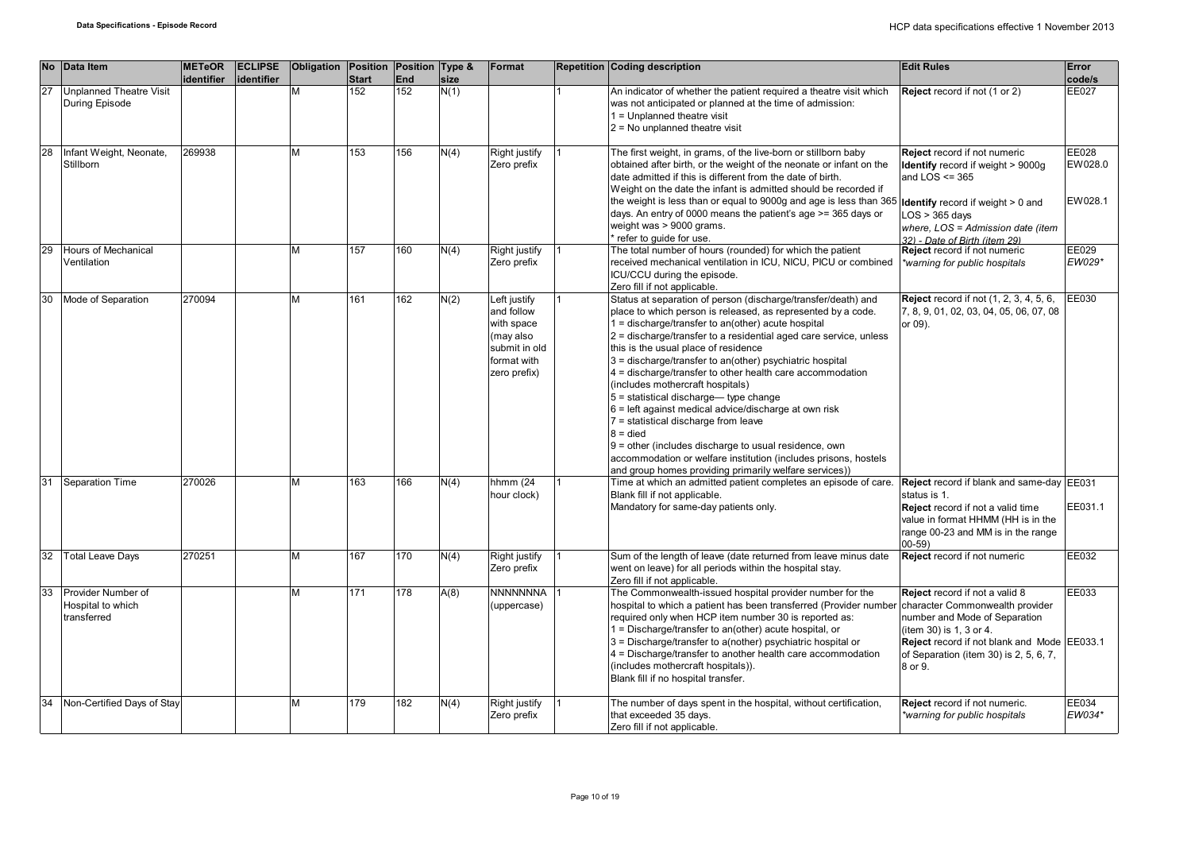|    | No Data Item                                           | <b>METeOR</b><br>identifier | <b>ECLIPSE</b><br>lidentifier | Obligation Position Position Type & | <b>Start</b> | End | size | Format                                                                                                | <b>Repetition Coding description</b>                                                                                                                                                                                                                                                                                                                                                                                                                                                                                                                                                                                                                                                                                                                                                                             | <b>Edit Rules</b>                                                                                                                                                                                                             | Error<br>code/s             |
|----|--------------------------------------------------------|-----------------------------|-------------------------------|-------------------------------------|--------------|-----|------|-------------------------------------------------------------------------------------------------------|------------------------------------------------------------------------------------------------------------------------------------------------------------------------------------------------------------------------------------------------------------------------------------------------------------------------------------------------------------------------------------------------------------------------------------------------------------------------------------------------------------------------------------------------------------------------------------------------------------------------------------------------------------------------------------------------------------------------------------------------------------------------------------------------------------------|-------------------------------------------------------------------------------------------------------------------------------------------------------------------------------------------------------------------------------|-----------------------------|
| 27 | <b>Unplanned Theatre Visit</b><br>During Episode       |                             |                               | M                                   | 152          | 152 | N(1) |                                                                                                       | An indicator of whether the patient required a theatre visit which<br>was not anticipated or planned at the time of admission:<br>$1 =$ Unplanned theatre visit<br>$2$ = No unplanned theatre visit                                                                                                                                                                                                                                                                                                                                                                                                                                                                                                                                                                                                              | Reject record if not (1 or 2)                                                                                                                                                                                                 | EE027                       |
| 28 | Infant Weight, Neonate,<br>Stillborn                   | 269938                      |                               | M                                   | 153          | 156 | N(4) | <b>Right justify</b><br>Zero prefix                                                                   | The first weight, in grams, of the live-born or stillborn baby<br>obtained after birth, or the weight of the neonate or infant on the<br>date admitted if this is different from the date of birth.<br>Weight on the date the infant is admitted should be recorded if<br>the weight is less than or equal to 9000g and age is less than 365<br>days. An entry of 0000 means the patient's age >= 365 days or<br>weight was > 9000 grams.<br>refer to guide for use.                                                                                                                                                                                                                                                                                                                                             | Reject record if not numeric<br>Identify record if weight > 9000g<br>and $LOS \leq 365$<br><b>Identify</b> record if weight > 0 and<br>$LOS > 365$ days<br>where, LOS = Admission date (item<br>32) - Date of Birth (item 29) | EE028<br>EW028.0<br>EW028.1 |
| 29 | Hours of Mechanical<br>Ventilation                     |                             |                               | м                                   | 157          | 160 | N(4) | Right justify<br>Zero prefix                                                                          | The total number of hours (rounded) for which the patient<br>received mechanical ventilation in ICU, NICU, PICU or combined<br>ICU/CCU during the episode.<br>Zero fill if not applicable.                                                                                                                                                                                                                                                                                                                                                                                                                                                                                                                                                                                                                       | Reject record if not numeric<br>*warning for public hospitals                                                                                                                                                                 | EE029<br>EW029*             |
| 30 | Mode of Separation                                     | 270094                      |                               | M                                   | 161          | 162 | N(2) | Left justify<br>and follow<br>with space<br>(may also<br>submit in old<br>format with<br>zero prefix) | Status at separation of person (discharge/transfer/death) and<br>place to which person is released, as represented by a code.<br>1 = discharge/transfer to an(other) acute hospital<br>2 = discharge/transfer to a residential aged care service, unless<br>this is the usual place of residence<br>3 = discharge/transfer to an(other) psychiatric hospital<br>4 = discharge/transfer to other health care accommodation<br>(includes mothercraft hospitals)<br>$5$ = statistical discharge— type change<br>$6$ = left against medical advice/discharge at own risk<br>7 = statistical discharge from leave<br>$8 =$ died<br>9 = other (includes discharge to usual residence, own<br>accommodation or welfare institution (includes prisons, hostels<br>and group homes providing primarily welfare services)) | <b>Reject</b> record if not (1, 2, 3, 4, 5, 6,<br>7, 8, 9, 01, 02, 03, 04, 05, 06, 07, 08<br>or 09).                                                                                                                          | EE030                       |
| 31 | <b>Separation Time</b>                                 | 270026                      |                               | M                                   | 163          | 166 | N(4) | hhmm (24<br>hour clock)                                                                               | Time at which an admitted patient completes an episode of care.<br>Blank fill if not applicable.<br>Mandatory for same-day patients only.                                                                                                                                                                                                                                                                                                                                                                                                                                                                                                                                                                                                                                                                        | Reject record if blank and same-day EE031<br>status is 1.<br>Reject record if not a valid time<br>value in format HHMM (HH is in the<br>range 00-23 and MM is in the range<br>$00 - 59$                                       | EE031.1                     |
| 32 | <b>Total Leave Days</b>                                | 270251                      |                               | M                                   | 167          | 170 | N(4) | Right justify<br>Zero prefix                                                                          | Sum of the length of leave (date returned from leave minus date<br>went on leave) for all periods within the hospital stay.<br>Zero fill if not applicable.                                                                                                                                                                                                                                                                                                                                                                                                                                                                                                                                                                                                                                                      | Reject record if not numeric                                                                                                                                                                                                  | EE032                       |
| 33 | Provider Number of<br>Hospital to which<br>transferred |                             |                               | M                                   | 171          | 178 | A(8) | <b>NNNNNNNA</b><br>(uppercase)                                                                        | The Commonwealth-issued hospital provider number for the<br>hospital to which a patient has been transferred (Provider number character Commonwealth provider<br>required only when HCP item number 30 is reported as:<br>1 = Discharge/transfer to an(other) acute hospital, or<br>3 = Discharge/transfer to a(nother) psychiatric hospital or<br>4 = Discharge/transfer to another health care accommodation<br>(includes mothercraft hospitals)).<br>Blank fill if no hospital transfer.                                                                                                                                                                                                                                                                                                                      | Reject record if not a valid 8<br>number and Mode of Separation<br>(item 30) is 1, 3 or 4.<br>Reject record if not blank and Mode EE033.1<br>of Separation (item 30) is 2, 5, 6, 7,<br>8 or 9.                                | EE033                       |
| 34 | Non-Certified Days of Stay                             |                             |                               | M                                   | 179          | 182 | N(4) | <b>Right justify</b><br>Zero prefix                                                                   | The number of days spent in the hospital, without certification,<br>that exceeded 35 days.<br>Zero fill if not applicable.                                                                                                                                                                                                                                                                                                                                                                                                                                                                                                                                                                                                                                                                                       | Reject record if not numeric.<br>*warning for public hospitals                                                                                                                                                                | EE034<br>EW034*             |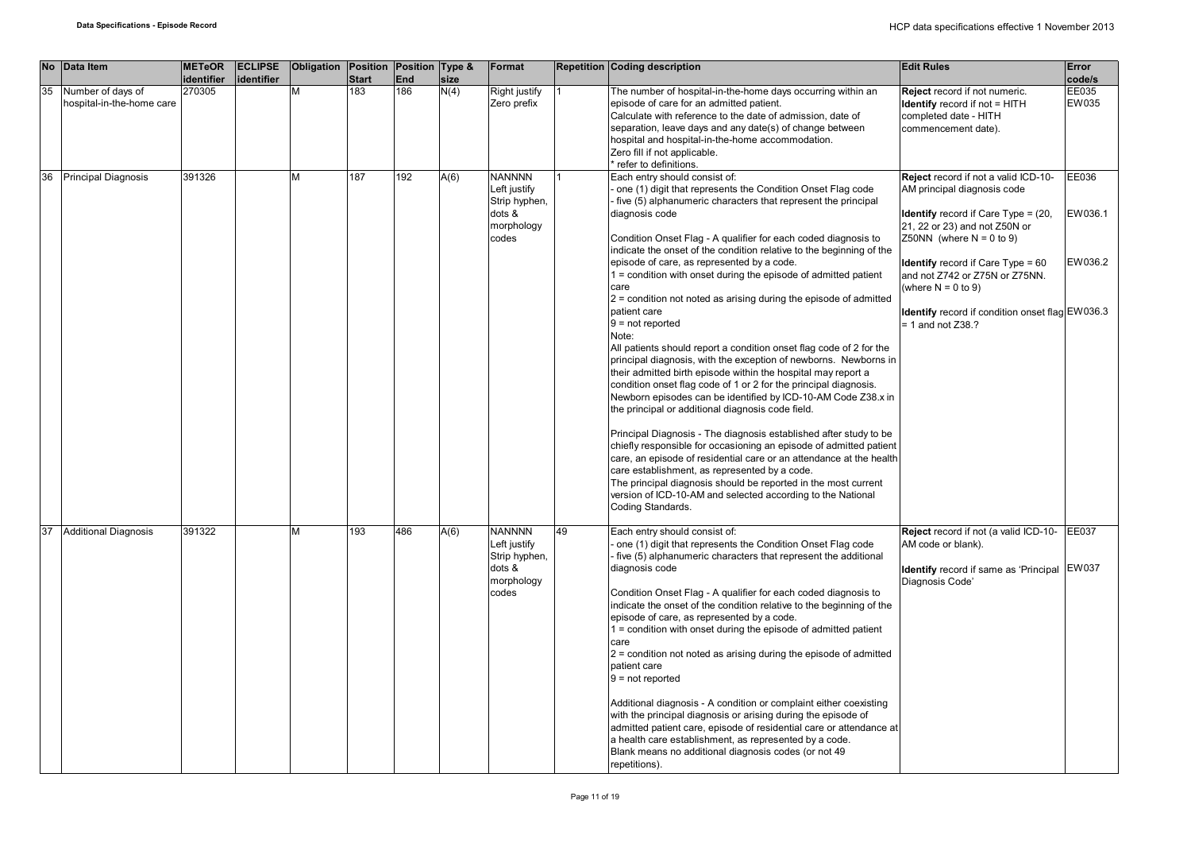| <b>No</b> | Data Item                                      | <b>METeOR</b><br>identifier | <b>ECLIPSE</b><br>identifier | Obligation Position Position Type & | <b>Start</b> | End | size | Format                                                                          |    | <b>Repetition Coding description</b>                                                                                                                                                                                                                                                                                                                                                                                                                                                                                                                                                                                                                                                                                                                                                                                                                                                                                                                                                                                                                                                                                                                                                                                                                                                                                                                                                                      | <b>Edit Rules</b>                                                                                                                                                                                                                                                                                                                                                        | Error<br>code/s             |
|-----------|------------------------------------------------|-----------------------------|------------------------------|-------------------------------------|--------------|-----|------|---------------------------------------------------------------------------------|----|-----------------------------------------------------------------------------------------------------------------------------------------------------------------------------------------------------------------------------------------------------------------------------------------------------------------------------------------------------------------------------------------------------------------------------------------------------------------------------------------------------------------------------------------------------------------------------------------------------------------------------------------------------------------------------------------------------------------------------------------------------------------------------------------------------------------------------------------------------------------------------------------------------------------------------------------------------------------------------------------------------------------------------------------------------------------------------------------------------------------------------------------------------------------------------------------------------------------------------------------------------------------------------------------------------------------------------------------------------------------------------------------------------------|--------------------------------------------------------------------------------------------------------------------------------------------------------------------------------------------------------------------------------------------------------------------------------------------------------------------------------------------------------------------------|-----------------------------|
| 35        | Number of days of<br>hospital-in-the-home care | 270305                      |                              | М                                   | 183          | 186 | N(4) | Right justify<br>Zero prefix                                                    |    | The number of hospital-in-the-home days occurring within an<br>episode of care for an admitted patient.<br>Calculate with reference to the date of admission, date of<br>separation, leave days and any date(s) of change between<br>hospital and hospital-in-the-home accommodation.<br>Zero fill if not applicable.<br>refer to definitions.                                                                                                                                                                                                                                                                                                                                                                                                                                                                                                                                                                                                                                                                                                                                                                                                                                                                                                                                                                                                                                                            | Reject record if not numeric.<br><b>Identify</b> record if not = HITH<br>completed date - HITH<br>commencement date).                                                                                                                                                                                                                                                    | EE035<br>EW035              |
| 36        | <b>Principal Diagnosis</b>                     | 391326                      |                              | М                                   | 187          | 192 | A(6) | <b>NANNNN</b><br>Left justify<br>Strip hyphen,<br>dots &<br>morphology<br>codes |    | Each entry should consist of:<br>one (1) digit that represents the Condition Onset Flag code<br>five (5) alphanumeric characters that represent the principal<br>diagnosis code<br>Condition Onset Flag - A qualifier for each coded diagnosis to<br>indicate the onset of the condition relative to the beginning of the<br>episode of care, as represented by a code.<br>$1 =$ condition with onset during the episode of admitted patient<br>care<br>$2$ = condition not noted as arising during the episode of admitted<br>patient care<br>$9 = not reported$<br>Note:<br>All patients should report a condition onset flag code of 2 for the<br>principal diagnosis, with the exception of newborns. Newborns in<br>their admitted birth episode within the hospital may report a<br>condition onset flag code of 1 or 2 for the principal diagnosis.<br>Newborn episodes can be identified by ICD-10-AM Code Z38.x in<br>the principal or additional diagnosis code field.<br>Principal Diagnosis - The diagnosis established after study to be<br>chiefly responsible for occasioning an episode of admitted patient<br>care, an episode of residential care or an attendance at the health<br>care establishment, as represented by a code.<br>The principal diagnosis should be reported in the most current<br>version of ICD-10-AM and selected according to the National<br>Coding Standards. | Reject record if not a valid ICD-10-<br>AM principal diagnosis code<br><b>Identify</b> record if Care Type = $(20, 10)$<br>21, 22 or 23) and not Z50N or<br>Z50NN (where $N = 0$ to 9)<br><b>Identify</b> record if Care $Type = 60$<br>and not Z742 or Z75N or Z75NN.<br>(where $N = 0$ to 9)<br>Identify record if condition onset flag EW036.3<br>$= 1$ and not Z38.? | EE036<br>EW036.1<br>EW036.2 |
| 37        | <b>Additional Diagnosis</b>                    | 391322                      |                              | м                                   | 193          | 486 | A(6) | <b>NANNNN</b><br>Left justify<br>Strip hyphen,<br>dots &<br>morphology<br>codes | 49 | Each entry should consist of:<br>one (1) digit that represents the Condition Onset Flag code<br>five (5) alphanumeric characters that represent the additional<br>diagnosis code<br>Condition Onset Flag - A qualifier for each coded diagnosis to<br>indicate the onset of the condition relative to the beginning of the<br>episode of care, as represented by a code.<br>$1 =$ condition with onset during the episode of admitted patient<br>care<br>$2$ = condition not noted as arising during the episode of admitted<br>patient care<br>$9 = not reported$<br>Additional diagnosis - A condition or complaint either coexisting<br>with the principal diagnosis or arising during the episode of<br>admitted patient care, episode of residential care or attendance at<br>a health care establishment, as represented by a code.<br>Blank means no additional diagnosis codes (or not 49<br>repetitions).                                                                                                                                                                                                                                                                                                                                                                                                                                                                                        | Reject record if not (a valid ICD-10- EE037<br>AM code or blank).<br>Identify record if same as 'Principal EW037<br>Diagnosis Code'                                                                                                                                                                                                                                      |                             |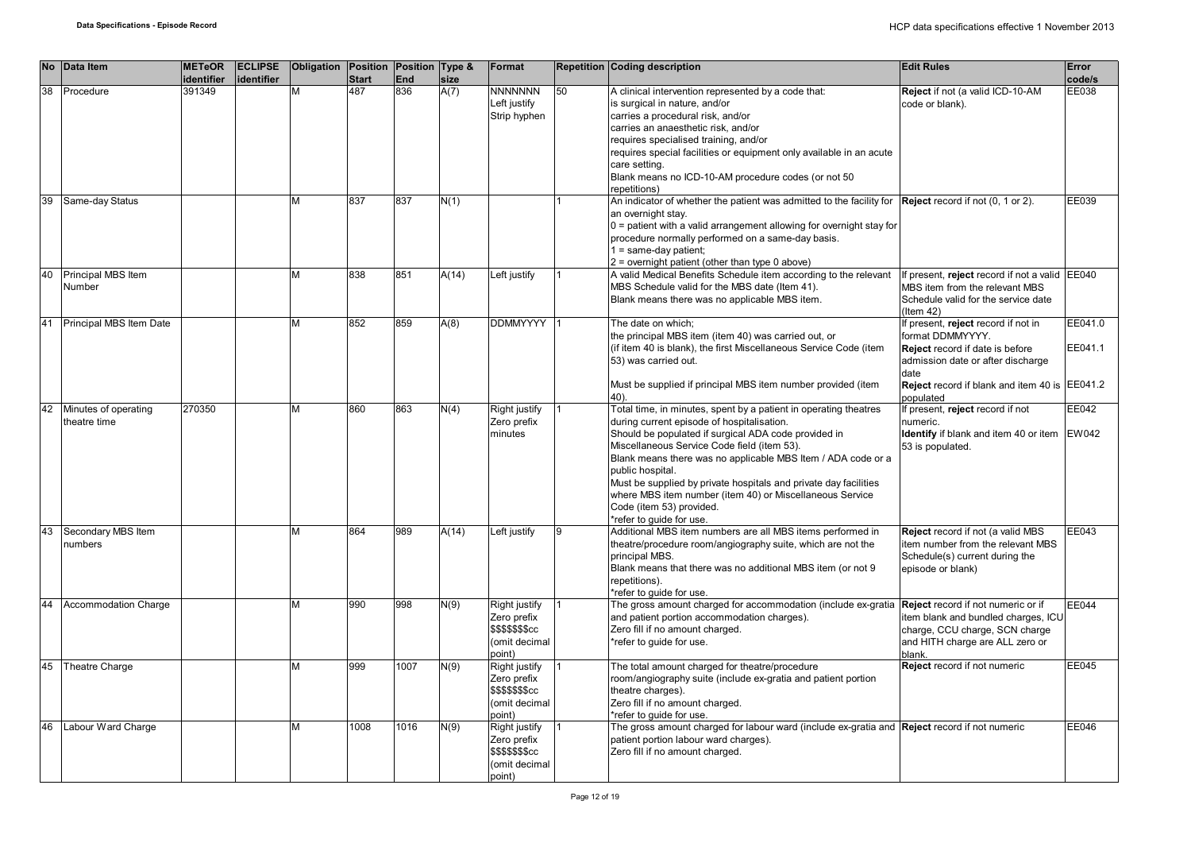|    | No Data Item                         | <b>METeOR</b><br>identifier | <b>ECLIPSE</b><br>identifier | Obligation Position Position Type & | <b>Start</b> | <b>End</b> | size  | Format                                                                             |    | <b>Repetition Coding description</b>                                                                                                                                                                                                                                                                                                                                                                                                                                                              | <b>Edit Rules</b>                                                                                                                                                                                            | <b>Error</b><br>code/s |
|----|--------------------------------------|-----------------------------|------------------------------|-------------------------------------|--------------|------------|-------|------------------------------------------------------------------------------------|----|---------------------------------------------------------------------------------------------------------------------------------------------------------------------------------------------------------------------------------------------------------------------------------------------------------------------------------------------------------------------------------------------------------------------------------------------------------------------------------------------------|--------------------------------------------------------------------------------------------------------------------------------------------------------------------------------------------------------------|------------------------|
| 38 | Procedure                            | 391349                      |                              | M                                   | 487          | 836        | A(7)  | <b>NNNNNNN</b><br>Left justify<br>Strip hyphen                                     | 50 | A clinical intervention represented by a code that:<br>is surgical in nature, and/or<br>carries a procedural risk, and/or<br>carries an anaesthetic risk, and/or<br>requires specialised training, and/or<br>requires special facilities or equipment only available in an acute<br>care setting.<br>Blank means no ICD-10-AM procedure codes (or not 50<br>repetitions)                                                                                                                          | Reject if not (a valid ICD-10-AM<br>code or blank).                                                                                                                                                          | EE038                  |
| 39 | Same-day Status                      |                             |                              | М                                   | 837          | 837        | N(1)  |                                                                                    |    | An indicator of whether the patient was admitted to the facility for Reject record if not (0, 1 or 2).<br>an overnight stay.<br>$0$ = patient with a valid arrangement allowing for overnight stay for<br>procedure normally performed on a same-day basis.<br>1 = same-day patient;<br>2 = overnight patient (other than type 0 above)                                                                                                                                                           |                                                                                                                                                                                                              | EE039                  |
| 40 | Principal MBS Item<br>Number         |                             |                              | М                                   | 838          | 851        | A(14) | Left justify                                                                       |    | A valid Medical Benefits Schedule item according to the relevant<br>MBS Schedule valid for the MBS date (Item 41).<br>Blank means there was no applicable MBS item.                                                                                                                                                                                                                                                                                                                               | If present, reject record if not a valid EE040<br>MBS item from the relevant MBS<br>Schedule valid for the service date<br>$($ ltem 42 $)$                                                                   |                        |
| 41 | Principal MBS Item Date              |                             |                              | М                                   | 852          | 859        | A(8)  | <b>DDMMYYYY</b>                                                                    |    | The date on which;<br>the principal MBS item (item 40) was carried out, or<br>(if item 40 is blank), the first Miscellaneous Service Code (item<br>53) was carried out.<br>Must be supplied if principal MBS item number provided (item<br>40).                                                                                                                                                                                                                                                   | If present, reject record if not in<br>format DDMMYYYY.<br><b>Reject</b> record if date is before<br>admission date or after discharge<br>date<br>Reject record if blank and item 40 is EE041.2<br>populated | EE041.0<br>EE041.1     |
| 42 | Minutes of operating<br>theatre time | 270350                      |                              | М                                   | 860          | 863        | N(4)  | <b>Right justify</b><br>Zero prefix<br>minutes                                     |    | Total time, in minutes, spent by a patient in operating theatres<br>during current episode of hospitalisation.<br>Should be populated if surgical ADA code provided in<br>Miscellaneous Service Code field (item 53).<br>Blank means there was no applicable MBS Item / ADA code or a<br>public hospital.<br>Must be supplied by private hospitals and private day facilities<br>where MBS item number (item 40) or Miscellaneous Service<br>Code (item 53) provided.<br>*refer to quide for use. | If present, reject record if not<br>numeric.<br>Identify if blank and item 40 or item<br>53 is populated.                                                                                                    | EE042<br><b>EW042</b>  |
| 43 | Secondary MBS Item<br>numbers        |                             |                              | М                                   | 864          | 989        | A(14) | Left justify                                                                       | 9  | Additional MBS item numbers are all MBS items performed in<br>theatre/procedure room/angiography suite, which are not the<br>principal MBS.<br>Blank means that there was no additional MBS item (or not 9<br>repetitions).<br>*refer to quide for use.                                                                                                                                                                                                                                           | Reject record if not (a valid MBS<br>item number from the relevant MBS<br>Schedule(s) current during the<br>episode or blank)                                                                                | EE043                  |
| 44 | <b>Accommodation Charge</b>          |                             |                              | М                                   | 990          | 998        | N(9)  | Right justify<br>Zero prefix<br><b>\$\$\$\$\$\$\$cc</b><br>(omit decimal<br>point) |    | The gross amount charged for accommodation (include ex-gratia<br>and patient portion accommodation charges).<br>Zero fill if no amount charged.<br>*refer to quide for use.                                                                                                                                                                                                                                                                                                                       | Reject record if not numeric or if<br>item blank and bundled charges, ICU<br>charge, CCU charge, SCN charge<br>and HITH charge are ALL zero or<br>blank.                                                     | EE044                  |
| 45 | Theatre Charge                       |                             |                              | М                                   | 999          | 1007       | N(9)  | Right justify<br>Zero prefix<br><b>\$\$\$\$\$\$\$cc</b><br>(omit decimal<br>point) |    | The total amount charged for theatre/procedure<br>room/angiography suite (include ex-gratia and patient portion<br>theatre charges).<br>Zero fill if no amount charged.<br>*refer to guide for use.                                                                                                                                                                                                                                                                                               | Reject record if not numeric                                                                                                                                                                                 | EE045                  |
| 46 | Labour Ward Charge                   |                             |                              | М                                   | 1008         | 1016       | N(9)  | Right justify<br>Zero prefix<br>\$\$\$\$\$\$\$cc<br>(omit decimal<br>point)        |    | The gross amount charged for labour ward (include ex-gratia and Reject record if not numeric<br>patient portion labour ward charges).<br>Zero fill if no amount charged.                                                                                                                                                                                                                                                                                                                          |                                                                                                                                                                                                              | EE046                  |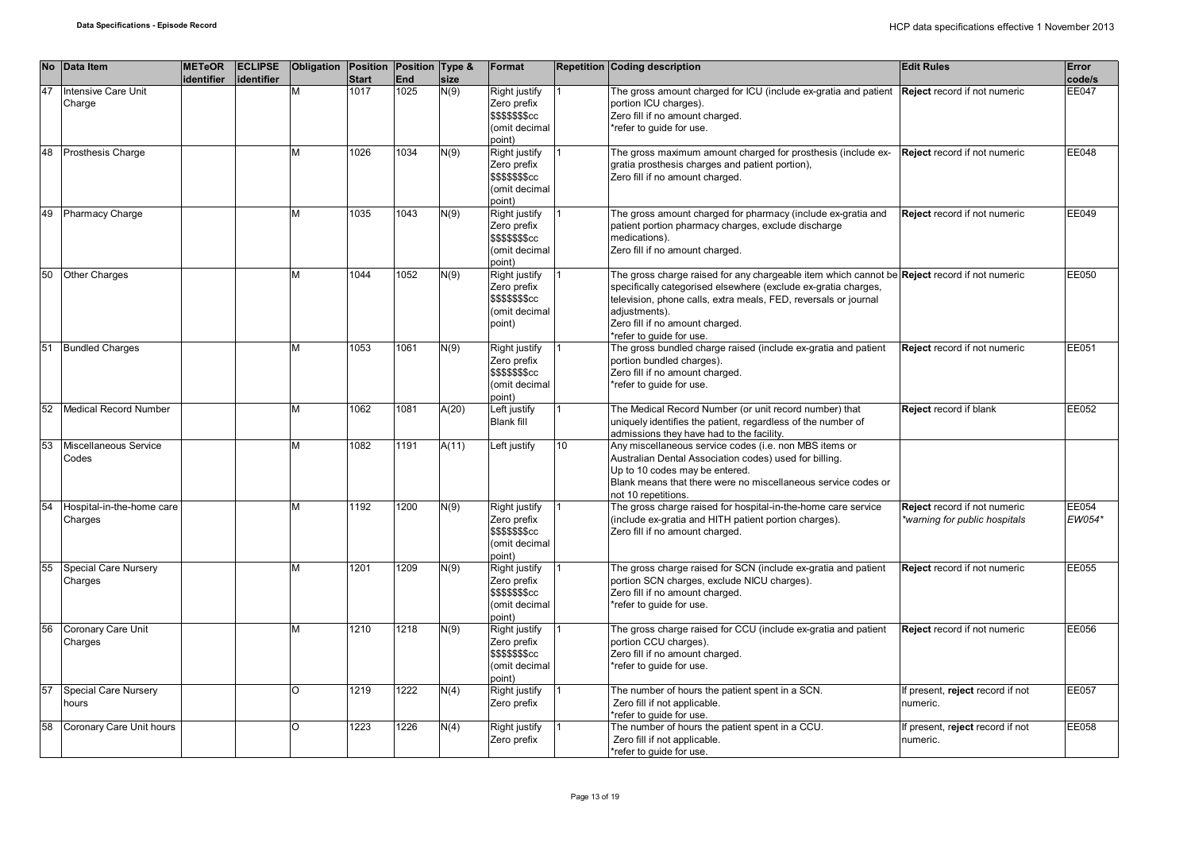|    | No Data Item                         | <b>METeOR</b><br>identifier | <b>ECLIPSE</b><br>lidentifier | Obligation Position Position Type & | <b>Start</b> | End  | size  | Format                                                                              |                 | <b>Repetition Coding description</b>                                                                                                                                                                                                                                                                              | <b>Edit Rules</b>                                            | Error<br>code/s |
|----|--------------------------------------|-----------------------------|-------------------------------|-------------------------------------|--------------|------|-------|-------------------------------------------------------------------------------------|-----------------|-------------------------------------------------------------------------------------------------------------------------------------------------------------------------------------------------------------------------------------------------------------------------------------------------------------------|--------------------------------------------------------------|-----------------|
| 47 | <b>Intensive Care Unit</b><br>Charge |                             |                               | M                                   | 1017         | 1025 | N(9)  | Right justify<br>Zero prefix<br>\$\$\$\$\$\$ <b>S</b> cc<br>(omit decimal<br>(point |                 | The gross amount charged for ICU (include ex-gratia and patient<br>portion ICU charges).<br>Zero fill if no amount charged.<br>*refer to guide for use.                                                                                                                                                           | Reject record if not numeric                                 | EE047           |
| 48 | <b>Prosthesis Charge</b>             |                             |                               | М                                   | 1026         | 1034 | N(9)  | Right justify<br>Zero prefix<br>\$\$\$\$\$\$cc<br>omit decimal<br>(point            |                 | The gross maximum amount charged for prosthesis (include ex-<br>gratia prosthesis charges and patient portion),<br>Zero fill if no amount charged.                                                                                                                                                                | Reject record if not numeric                                 | EE048           |
| 49 | <b>Pharmacy Charge</b>               |                             |                               | M                                   | 1035         | 1043 | N(9)  | Right justify<br>Zero prefix<br>\$\$\$\$\$\$cc<br>omit decimal<br>ooint)            |                 | The gross amount charged for pharmacy (include ex-gratia and<br>patient portion pharmacy charges, exclude discharge<br>medications).<br>Zero fill if no amount charged.                                                                                                                                           | Reject record if not numeric                                 | EE049           |
| 50 | <b>Other Charges</b>                 |                             |                               | M                                   | 1044         | 1052 | N(9)  | Right justify<br>Zero prefix<br>\$\$\$\$\$\$\$cc<br>omit decimal<br>(point          |                 | The gross charge raised for any chargeable item which cannot be Reject record if not numeric<br>specifically categorised elsewhere (exclude ex-gratia charges,<br>television, phone calls, extra meals, FED, reversals or journal<br>adiustments).<br>Zero fill if no amount charged.<br>*refer to guide for use. |                                                              | EE050           |
| 51 | <b>Bundled Charges</b>               |                             |                               | M                                   | 1053         | 1061 | N(9)  | Right justify<br>Zero prefix<br>\$\$\$\$\$\$cc<br>omit decimal)<br>(point           |                 | The gross bundled charge raised (include ex-gratia and patient<br>portion bundled charges).<br>Zero fill if no amount charged.<br>*refer to guide for use.                                                                                                                                                        | Reject record if not numeric                                 | EE051           |
| 52 | Medical Record Number                |                             |                               | М                                   | 1062         | 1081 | A(20) | eft justify<br><b>Blank fill</b>                                                    |                 | The Medical Record Number (or unit record number) that<br>uniquely identifies the patient, regardless of the number of<br>admissions they have had to the facility.                                                                                                                                               | Reject record if blank                                       | EE052           |
| 53 | Miscellaneous Service<br>Codes       |                             |                               | м                                   | 1082         | 1191 | A(11) | Left justify                                                                        | 10 <sup>1</sup> | Any miscellaneous service codes (i.e. non MBS items or<br>Australian Dental Association codes) used for billing.<br>Up to 10 codes may be entered.<br>Blank means that there were no miscellaneous service codes or<br>not 10 repetitions.                                                                        |                                                              |                 |
| 54 | Hospital-in-the-home care<br>Charges |                             |                               | М                                   | 1192         | 1200 | N(9)  | Right justify<br>Zero prefix<br>\$\$\$\$\$\$cc<br>omit decimal<br>(point            |                 | The gross charge raised for hospital-in-the-home care service<br>(include ex-gratia and HITH patient portion charges).<br>Zero fill if no amount charged.                                                                                                                                                         | Reject record if not numeric<br>warning for public hospitals | EE054<br>EW054* |
| 55 | Special Care Nursery<br>Charges      |                             |                               | M                                   | 1201         | 1209 | N(9)  | Right justify<br>Zero prefix<br>\$\$\$\$\$\$\$cc<br>omit decimal<br>(boc            |                 | The gross charge raised for SCN (include ex-gratia and patient<br>portion SCN charges, exclude NICU charges).<br>Zero fill if no amount charged.<br>*refer to quide for use.                                                                                                                                      | Reject record if not numeric                                 | EE055           |
| 56 | Coronary Care Unit<br>Charges        |                             |                               | M                                   | 1210         | 1218 | N(9)  | Right justify<br>Zero prefix<br>\$\$\$\$\$\$\$cc<br>(omit decimal<br>ooint)         |                 | The gross charge raised for CCU (include ex-gratia and patient<br>portion CCU charges).<br>Zero fill if no amount charged.<br>*refer to guide for use.                                                                                                                                                            | Reject record if not numeric                                 | EE056           |
| 57 | Special Care Nursery<br>hours        |                             |                               | O                                   | 1219         | 1222 | N(4)  | Right justify<br>Zero prefix                                                        |                 | The number of hours the patient spent in a SCN.<br>Zero fill if not applicable.<br>*refer to quide for use.                                                                                                                                                                                                       | f present, reject record if not<br>numeric.                  | EE057           |
| 58 | Coronary Care Unit hours             |                             |                               | O                                   | 1223         | 1226 | N(4)  | Right justify<br>Zero prefix                                                        |                 | The number of hours the patient spent in a CCU.<br>Zero fill if not applicable.<br>*refer to quide for use.                                                                                                                                                                                                       | f present, reject record if not<br>numeric.                  | EE058           |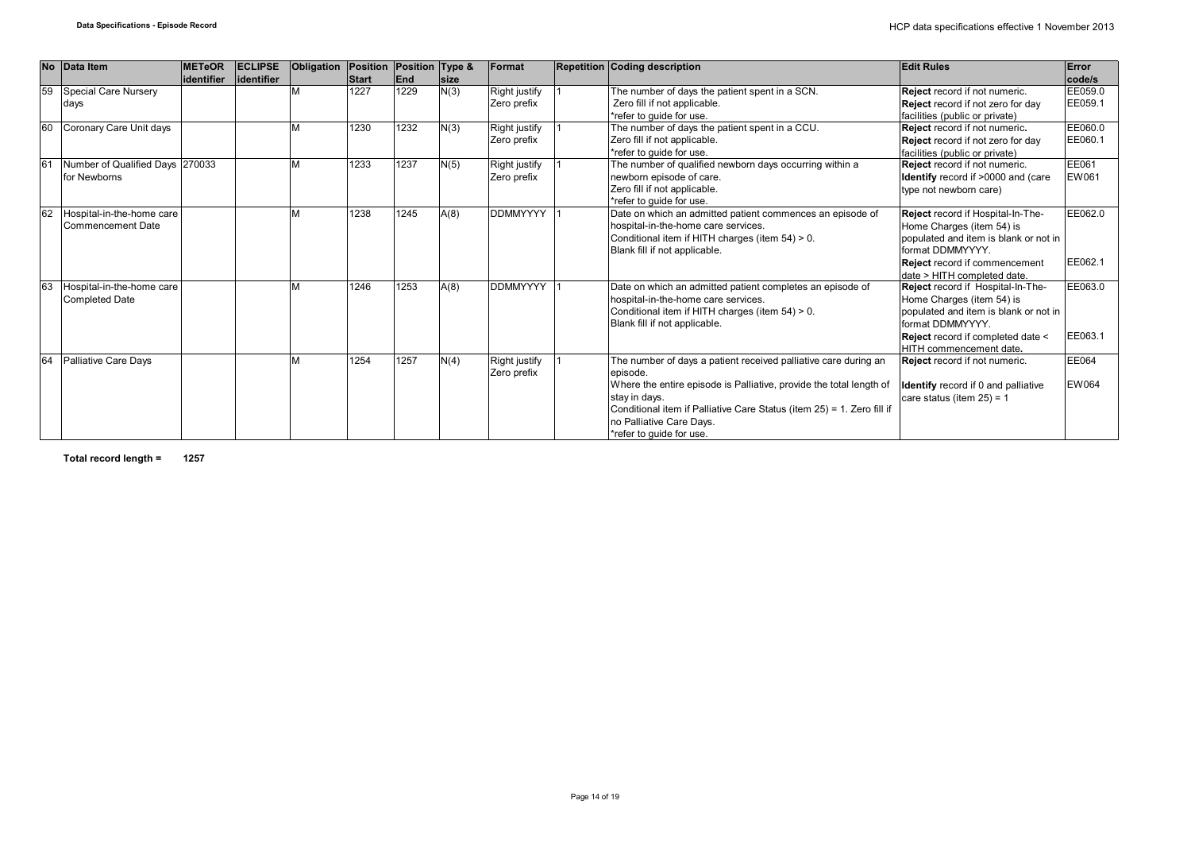| <b>No</b>      | Data Item                                             | <b>METeOR</b><br>lidentifier | <b>ECLIPSE</b><br>lidentifier | Obligation Position | <b>Start</b> | Position Type &<br>End | <b>size</b> | Format                              | <b>Repetition Coding description</b>                                                                                                                                                                                                                                                                  | <b>Edit Rules</b>                                                                                                                                                                                                                 | Error<br>code/s    |
|----------------|-------------------------------------------------------|------------------------------|-------------------------------|---------------------|--------------|------------------------|-------------|-------------------------------------|-------------------------------------------------------------------------------------------------------------------------------------------------------------------------------------------------------------------------------------------------------------------------------------------------------|-----------------------------------------------------------------------------------------------------------------------------------------------------------------------------------------------------------------------------------|--------------------|
| 59             | Special Care Nursery<br>days                          |                              |                               |                     | 1227         | 1229                   | N(3)        | Right justify<br>Zero prefix        | The number of days the patient spent in a SCN.<br>Zero fill if not applicable.<br>*refer to quide for use.                                                                                                                                                                                            | Reject record if not numeric.<br><b>Reject</b> record if not zero for day<br>facilities (public or private)                                                                                                                       | EE059.0<br>EE059.1 |
| 60             | Coronary Care Unit days                               |                              |                               |                     | 1230         | 1232                   | N(3)        | Right justify<br>Zero prefix        | The number of days the patient spent in a CCU.<br>Zero fill if not applicable.<br>*refer to quide for use.                                                                                                                                                                                            | Reject record if not numeric.<br>Reject record if not zero for day<br>facilities (public or private)                                                                                                                              | EE060.0<br>EE060.1 |
| 6 <sup>1</sup> | Number of Qualified Days 270033<br>for Newborns       |                              |                               |                     | 1233         | 1237                   | N(5)        | <b>Right justify</b><br>Zero prefix | The number of qualified newborn days occurring within a<br>newborn episode of care.<br>Zero fill if not applicable.<br>*refer to quide for use.                                                                                                                                                       | Reject record if not numeric.<br><b>Identify</b> record if >0000 and (care<br>type not newborn care)                                                                                                                              | EE061<br>EW061     |
| 62             | Hospital-in-the-home care<br><b>Commencement Date</b> |                              |                               |                     | 1238         | 1245                   | A(8)        | <b>DDMMYYYY</b>                     | Date on which an admitted patient commences an episode of<br>hospital-in-the-home care services.<br>Conditional item if HITH charges (item 54) > 0.<br>Blank fill if not applicable.                                                                                                                  | Reject record if Hospital-In-The-<br>Home Charges (item 54) is<br>populated and item is blank or not in<br>format DDMMYYYY.<br><b>Reject</b> record if commencement                                                               | EE062.0<br>EE062.1 |
| 63             | Hospital-in-the-home care<br><b>Completed Date</b>    |                              |                               |                     | 1246         | 1253                   | A(8)        | <b>DDMMYYYY</b>                     | Date on which an admitted patient completes an episode of<br>hospital-in-the-home care services.<br>Conditional item if HITH charges (item 54) > 0.<br>Blank fill if not applicable.                                                                                                                  | date > HITH completed date.<br>Reject record if Hospital-In-The-<br>Home Charges (item 54) is<br>populated and item is blank or not in<br>format DDMMYYYY.<br><b>Reject</b> record if completed date <<br>HITH commencement date. | EE063.0<br>EE063.1 |
| 64             | Palliative Care Days                                  |                              |                               |                     | 1254         | 1257                   | N(4)        | <b>Right justify</b><br>Zero prefix | The number of days a patient received palliative care during an<br>episode.<br>Where the entire episode is Palliative, provide the total length of<br>stay in days.<br>Conditional item if Palliative Care Status (item 25) = 1. Zero fill if<br>no Palliative Care Days.<br>*refer to quide for use. | Reject record if not numeric.<br><b>Identify</b> record if 0 and palliative<br>care status (item $25$ ) = 1                                                                                                                       | EE064<br>EW064     |

**Total record length = 1257**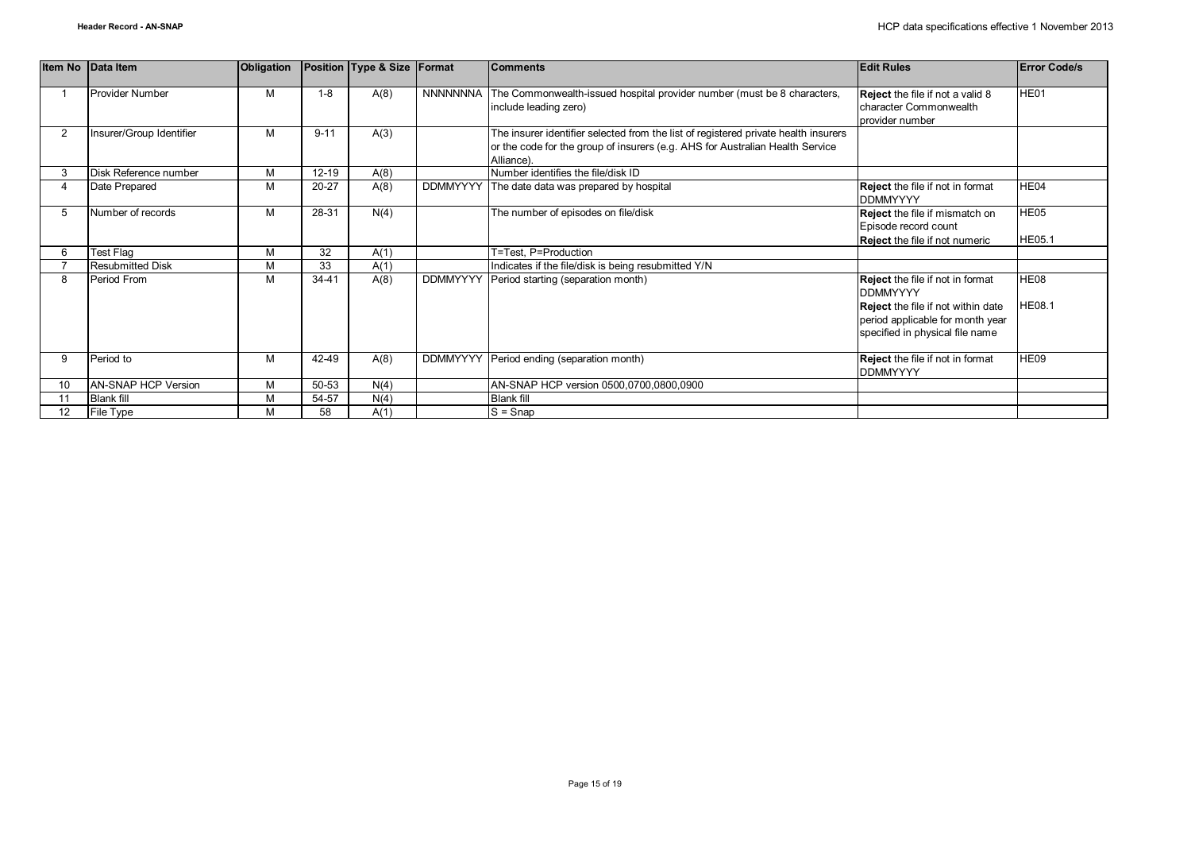|                 | Item No Data Item        | Obligation |           | Position Type & Size Format |                 | <b>Comments</b>                                                                                                                                                                    | <b>Edit Rules</b>                                                                                                                                                              | <b>Error Code/s</b>   |
|-----------------|--------------------------|------------|-----------|-----------------------------|-----------------|------------------------------------------------------------------------------------------------------------------------------------------------------------------------------------|--------------------------------------------------------------------------------------------------------------------------------------------------------------------------------|-----------------------|
|                 | Provider Number          | M          | $1 - 8$   | A(8)                        | NNNNNNNA        | The Commonwealth-issued hospital provider number (must be 8 characters,<br>include leading zero)                                                                                   | Reject the file if not a valid 8<br>character Commonwealth<br>provider number                                                                                                  | HE01                  |
| $\overline{2}$  | Insurer/Group Identifier | M          | $9 - 11$  | A(3)                        |                 | The insurer identifier selected from the list of registered private health insurers<br>or the code for the group of insurers (e.g. AHS for Australian Health Service<br>Alliance). |                                                                                                                                                                                |                       |
| 3               | Disk Reference number    | M          | $12 - 19$ | A(8)                        |                 | Number identifies the file/disk ID                                                                                                                                                 |                                                                                                                                                                                |                       |
|                 | Date Prepared            | M          | 20-27     | A(8)                        | <b>DDMMYYYY</b> | The date data was prepared by hospital                                                                                                                                             | <b>Reject</b> the file if not in format<br><b>DDMMYYYY</b>                                                                                                                     | HE04                  |
| 5               | Number of records        | M          | 28-31     | N(4)                        |                 | The number of episodes on file/disk                                                                                                                                                | Reject the file if mismatch on<br>Episode record count<br><b>Reject</b> the file if not numeric                                                                                | HE05<br><b>HE05.1</b> |
| 6               | Test Flag                | M          | 32        | A(1)                        |                 | T=Test, P=Production                                                                                                                                                               |                                                                                                                                                                                |                       |
|                 | <b>Resubmitted Disk</b>  | M          | 33        | A(1)                        |                 | Indicates if the file/disk is being resubmitted Y/N                                                                                                                                |                                                                                                                                                                                |                       |
| 8               | Period From              | M          | $34 - 41$ | A(8)                        | <b>DDMMYYYY</b> | Period starting (separation month)                                                                                                                                                 | <b>Reject</b> the file if not in format<br><b>DDMMYYYY</b><br><b>Reject</b> the file if not within date<br>period applicable for month year<br>specified in physical file name | HE08<br><b>HE08.1</b> |
| 9               | Period to                | M          | 42-49     | A(8)                        | <b>DDMMYYYY</b> | Period ending (separation month)                                                                                                                                                   | <b>Reject</b> the file if not in format<br><b>DDMMYYYY</b>                                                                                                                     | HE09                  |
| 10              | AN-SNAP HCP Version      | M          | 50-53     | N(4)                        |                 | AN-SNAP HCP version 0500,0700,0800,0900                                                                                                                                            |                                                                                                                                                                                |                       |
|                 | <b>Blank fill</b>        | M          | 54-57     | N(4)                        |                 | <b>Blank fill</b>                                                                                                                                                                  |                                                                                                                                                                                |                       |
| 12 <sup>2</sup> | File Type                | M          | 58        | A(1)                        |                 | $S =$ Snap                                                                                                                                                                         |                                                                                                                                                                                |                       |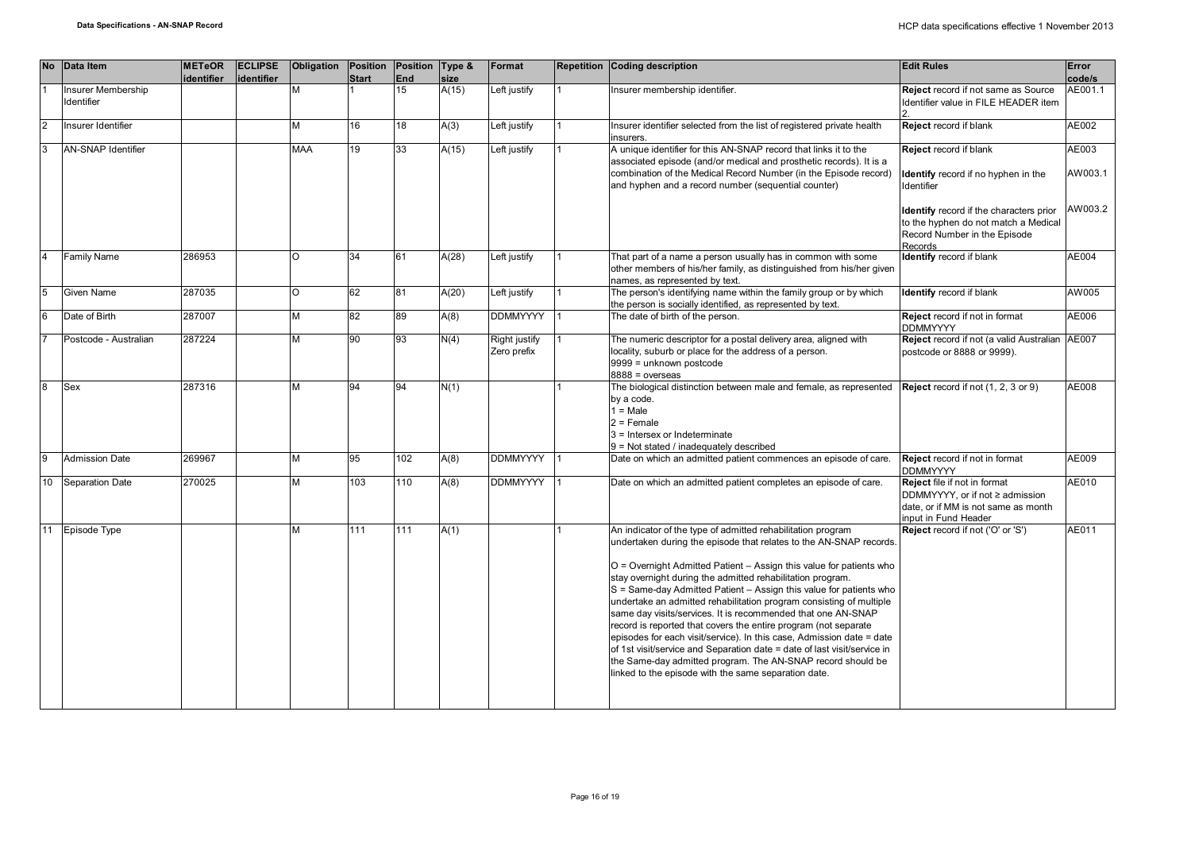| <b>No</b>     | <b>Data Item</b>                 | <b>METeOR</b><br>identifier | <b>ECLIPSE</b><br>identifier | Obligation | Position<br><b>Start</b> | Position Type &<br>End | size  | Format                       | <b>Repetition Coding description</b>                                                                                                                                                                                                                                                                                                                                                                                                                                                                                                                                                                                                                                                                                                                                                                                               | <b>Edit Rules</b>                                                                                                                 | Error<br>code/s  |
|---------------|----------------------------------|-----------------------------|------------------------------|------------|--------------------------|------------------------|-------|------------------------------|------------------------------------------------------------------------------------------------------------------------------------------------------------------------------------------------------------------------------------------------------------------------------------------------------------------------------------------------------------------------------------------------------------------------------------------------------------------------------------------------------------------------------------------------------------------------------------------------------------------------------------------------------------------------------------------------------------------------------------------------------------------------------------------------------------------------------------|-----------------------------------------------------------------------------------------------------------------------------------|------------------|
|               | Insurer Membership<br>Identifier |                             |                              | м          |                          | 15                     | A(15) | Left justify                 | Insurer membership identifier.                                                                                                                                                                                                                                                                                                                                                                                                                                                                                                                                                                                                                                                                                                                                                                                                     | Reject record if not same as Source<br>Identifier value in FILE HEADER item                                                       | AE001.1          |
| $\mathcal{P}$ | Insurer Identifier               |                             |                              | М          | 16                       | 18                     | A(3)  | Left justify                 | Insurer identifier selected from the list of registered private health<br>insurers.                                                                                                                                                                                                                                                                                                                                                                                                                                                                                                                                                                                                                                                                                                                                                | Reject record if blank                                                                                                            | AE002            |
|               | <b>AN-SNAP Identifier</b>        |                             |                              | <b>MAA</b> | 19                       | 33                     | A(15) | Left justify                 | A unique identifier for this AN-SNAP record that links it to the<br>associated episode (and/or medical and prosthetic records). It is a<br>combination of the Medical Record Number (in the Episode record)<br>and hyphen and a record number (sequential counter)                                                                                                                                                                                                                                                                                                                                                                                                                                                                                                                                                                 | Reject record if blank<br>Identify record if no hyphen in the<br>Identifier                                                       | AE003<br>AW003.1 |
|               |                                  |                             |                              |            |                          |                        |       |                              |                                                                                                                                                                                                                                                                                                                                                                                                                                                                                                                                                                                                                                                                                                                                                                                                                                    | <b>Identify</b> record if the characters prior<br>to the hyphen do not match a Medical<br>Record Number in the Episode<br>Records | AW003.2          |
|               | <b>Family Name</b>               | 286953                      |                              | $\Omega$   | 34                       | 61                     | A(28) | Left justify                 | That part of a name a person usually has in common with some<br>other members of his/her family, as distinguished from his/her given<br>names, as represented by text.                                                                                                                                                                                                                                                                                                                                                                                                                                                                                                                                                                                                                                                             | Identify record if blank                                                                                                          | AE004            |
|               | <b>Given Name</b>                | 287035                      |                              | O          | 62                       | 81                     | A(20) | Left justify                 | The person's identifying name within the family group or by which<br>the person is socially identified, as represented by text.                                                                                                                                                                                                                                                                                                                                                                                                                                                                                                                                                                                                                                                                                                    | Identify record if blank                                                                                                          | AW005            |
| 6             | Date of Birth                    | 287007                      |                              | М          | 82                       | 89                     | A(8)  | <b>DDMMYYYY</b>              | The date of birth of the person.                                                                                                                                                                                                                                                                                                                                                                                                                                                                                                                                                                                                                                                                                                                                                                                                   | Reject record if not in format<br><b>DDMMYYYY</b>                                                                                 | AE006            |
|               | Postcode - Australian            | 287224                      |                              | М          | 90                       | 93                     | N(4)  | Right justify<br>Zero prefix | The numeric descriptor for a postal delivery area, aligned with<br>locality, suburb or place for the address of a person.<br>9999 = unknown postcode<br>$8888 = 0$ verseas                                                                                                                                                                                                                                                                                                                                                                                                                                                                                                                                                                                                                                                         | Reject record if not (a valid Australian<br>postcode or 8888 or 9999).                                                            | AE007            |
| 8             | <b>Sex</b>                       | 287316                      |                              | м          | 94                       | 94                     | N(1)  |                              | The biological distinction between male and female, as represented $\left  \text{Reject record if not } (1, 2, 3 \text{ or } 9) \right $<br>by a code.<br>$1 = Male$<br>$2 =$ Female<br>3 = Intersex or Indeterminate<br>9 = Not stated / inadequately described                                                                                                                                                                                                                                                                                                                                                                                                                                                                                                                                                                   |                                                                                                                                   | AE008            |
| a             | <b>Admission Date</b>            | 269967                      |                              | М          | 95                       | 102                    | A(8)  | DDMMYYYY                     | Date on which an admitted patient commences an episode of care.                                                                                                                                                                                                                                                                                                                                                                                                                                                                                                                                                                                                                                                                                                                                                                    | Reject record if not in format<br><b>DDMMYYYY</b>                                                                                 | AE009            |
| 10            | <b>Separation Date</b>           | 270025                      |                              | М          | 103                      | 110                    | A(8)  | <b>DDMMYYYY</b>              | Date on which an admitted patient completes an episode of care.                                                                                                                                                                                                                                                                                                                                                                                                                                                                                                                                                                                                                                                                                                                                                                    | Reject file if not in format<br>DDMMYYYY, or if not ≥ admission<br>date, or if MM is not same as month<br>input in Fund Header    | AE010            |
|               | 11 Episode Type                  |                             |                              | М          | 111                      | 111                    | A(1)  |                              | An indicator of the type of admitted rehabilitation program<br>undertaken during the episode that relates to the AN-SNAP records.<br>O = Overnight Admitted Patient - Assign this value for patients who<br>stay overnight during the admitted rehabilitation program.<br>S = Same-day Admitted Patient - Assign this value for patients who<br>undertake an admitted rehabilitation program consisting of multiple<br>same day visits/services. It is recommended that one AN-SNAP<br>record is reported that covers the entire program (not separate<br>episodes for each visit/service). In this case, Admission date = date<br>of 1st visit/service and Separation date = date of last visit/service in<br>the Same-day admitted program. The AN-SNAP record should be<br>linked to the episode with the same separation date. | Reject record if not ('O' or 'S')                                                                                                 | AE011            |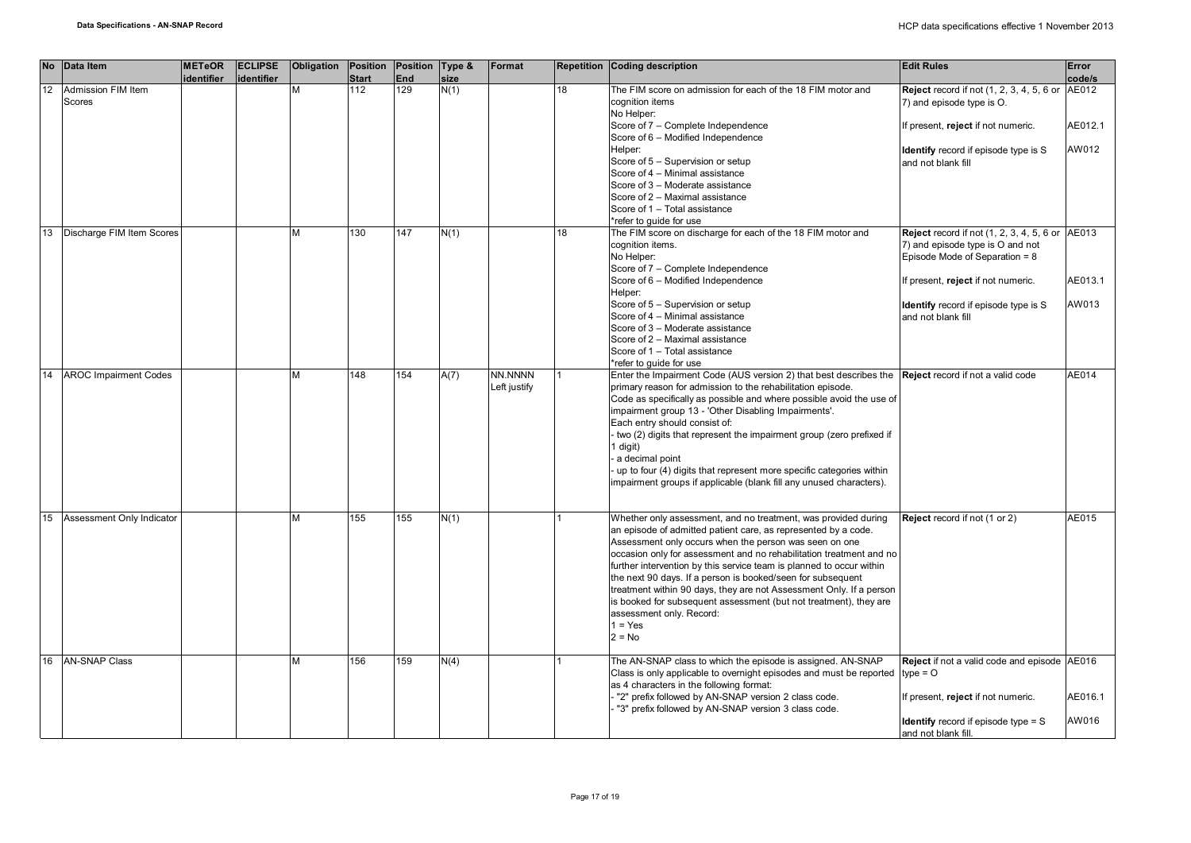| <b>No</b> | Data Item                    | <b>METeOR</b><br>identifier | <b>ECLIPSE</b><br>identifier | Obligation | Position<br><b>Start</b> | Position Type &<br>End | size | Format                  |    | Repetition Coding description                                                                                                                                                                                                                                                                                                                                                                                                                                                                                                                                                                             | <b>Edit Rules</b>                                                                                                      | Error<br>code/s  |
|-----------|------------------------------|-----------------------------|------------------------------|------------|--------------------------|------------------------|------|-------------------------|----|-----------------------------------------------------------------------------------------------------------------------------------------------------------------------------------------------------------------------------------------------------------------------------------------------------------------------------------------------------------------------------------------------------------------------------------------------------------------------------------------------------------------------------------------------------------------------------------------------------------|------------------------------------------------------------------------------------------------------------------------|------------------|
| 12        | Admission FIM Item<br>Scores |                             |                              | M          | 112                      | 129                    | N(1) |                         | 18 | The FIM score on admission for each of the 18 FIM motor and<br>cognition items<br>No Helper:                                                                                                                                                                                                                                                                                                                                                                                                                                                                                                              | <b>Reject</b> record if not (1, 2, 3, 4, 5, 6 or<br>7) and episode type is O.                                          | AE012            |
|           |                              |                             |                              |            |                          |                        |      |                         |    | Score of 7 - Complete Independence<br>Score of 6 - Modified Independence                                                                                                                                                                                                                                                                                                                                                                                                                                                                                                                                  | If present, reject if not numeric.                                                                                     | AE012.1          |
|           |                              |                             |                              |            |                          |                        |      |                         |    | Helper:<br>Score of 5 - Supervision or setup<br>Score of 4 - Minimal assistance                                                                                                                                                                                                                                                                                                                                                                                                                                                                                                                           | <b>Identify</b> record if episode type is S<br>and not blank fill                                                      | AW012            |
|           |                              |                             |                              |            |                          |                        |      |                         |    | Score of 3 - Moderate assistance<br>Score of 2 - Maximal assistance<br>Score of 1 - Total assistance                                                                                                                                                                                                                                                                                                                                                                                                                                                                                                      |                                                                                                                        |                  |
| 13        | Discharge FIM Item Scores    |                             |                              | M          | 130                      | 147                    | N(1) |                         | 18 | *refer to guide for use<br>The FIM score on discharge for each of the 18 FIM motor and<br>cognition items.<br>No Helper:<br>Score of 7 - Complete Independence                                                                                                                                                                                                                                                                                                                                                                                                                                            | <b>Reject</b> record if not (1, 2, 3, 4, 5, 6 or<br>7) and episode type is O and not<br>Episode Mode of Separation = 8 | AE013            |
|           |                              |                             |                              |            |                          |                        |      |                         |    | Score of 6 - Modified Independence<br>Helper:                                                                                                                                                                                                                                                                                                                                                                                                                                                                                                                                                             | If present, reject if not numeric.                                                                                     | AE013.1          |
|           |                              |                             |                              |            |                          |                        |      |                         |    | Score of 5 - Supervision or setup<br>Score of 4 - Minimal assistance<br>Score of 3 - Moderate assistance                                                                                                                                                                                                                                                                                                                                                                                                                                                                                                  | <b>Identify</b> record if episode type is S<br>and not blank fill                                                      | AW013            |
|           |                              |                             |                              |            |                          |                        |      |                         |    | Score of 2 - Maximal assistance<br>Score of 1 - Total assistance<br>*refer to quide for use                                                                                                                                                                                                                                                                                                                                                                                                                                                                                                               |                                                                                                                        |                  |
| 14        | <b>AROC Impairment Codes</b> |                             |                              | M          | 148                      | 154                    | A(7) | NN.NNNN<br>Left justify |    | Enter the Impairment Code (AUS version 2) that best describes the <b>Reject</b> record if not a valid code<br>primary reason for admission to the rehabilitation episode.<br>Code as specifically as possible and where possible avoid the use of<br>impairment group 13 - 'Other Disabling Impairments'.<br>Each entry should consist of:<br>two (2) digits that represent the impairment group (zero prefixed if<br>1 digit)<br>a decimal point<br>up to four (4) digits that represent more specific categories within<br>impairment groups if applicable (blank fill any unused characters).          |                                                                                                                        | AE014            |
| 15        | Assessment Only Indicator    |                             |                              | M          | 155                      | 155                    | N(1) |                         |    | Whether only assessment, and no treatment, was provided during<br>an episode of admitted patient care, as represented by a code.<br>Assessment only occurs when the person was seen on one<br>occasion only for assessment and no rehabilitation treatment and no<br>further intervention by this service team is planned to occur within<br>the next 90 days. If a person is booked/seen for subsequent<br>treatment within 90 days, they are not Assessment Only. If a person<br>is booked for subsequent assessment (but not treatment), they are<br>assessment only. Record:<br>$1 = Yes$<br>$2 = No$ | Reject record if not (1 or 2)                                                                                          | AE015            |
| 16        | <b>AN-SNAP Class</b>         |                             |                              | М          | 156                      | 159                    | N(4) |                         |    | The AN-SNAP class to which the episode is assigned. AN-SNAP<br>Class is only applicable to overnight episodes and must be reported<br>as 4 characters in the following format:                                                                                                                                                                                                                                                                                                                                                                                                                            | Reject if not a valid code and episode AE016<br>$type = O$                                                             |                  |
|           |                              |                             |                              |            |                          |                        |      |                         |    | "2" prefix followed by AN-SNAP version 2 class code.<br>"3" prefix followed by AN-SNAP version 3 class code.                                                                                                                                                                                                                                                                                                                                                                                                                                                                                              | If present, reject if not numeric.<br><b>Identify</b> record if episode type $=$ S<br>and not blank fill.              | AE016.1<br>AW016 |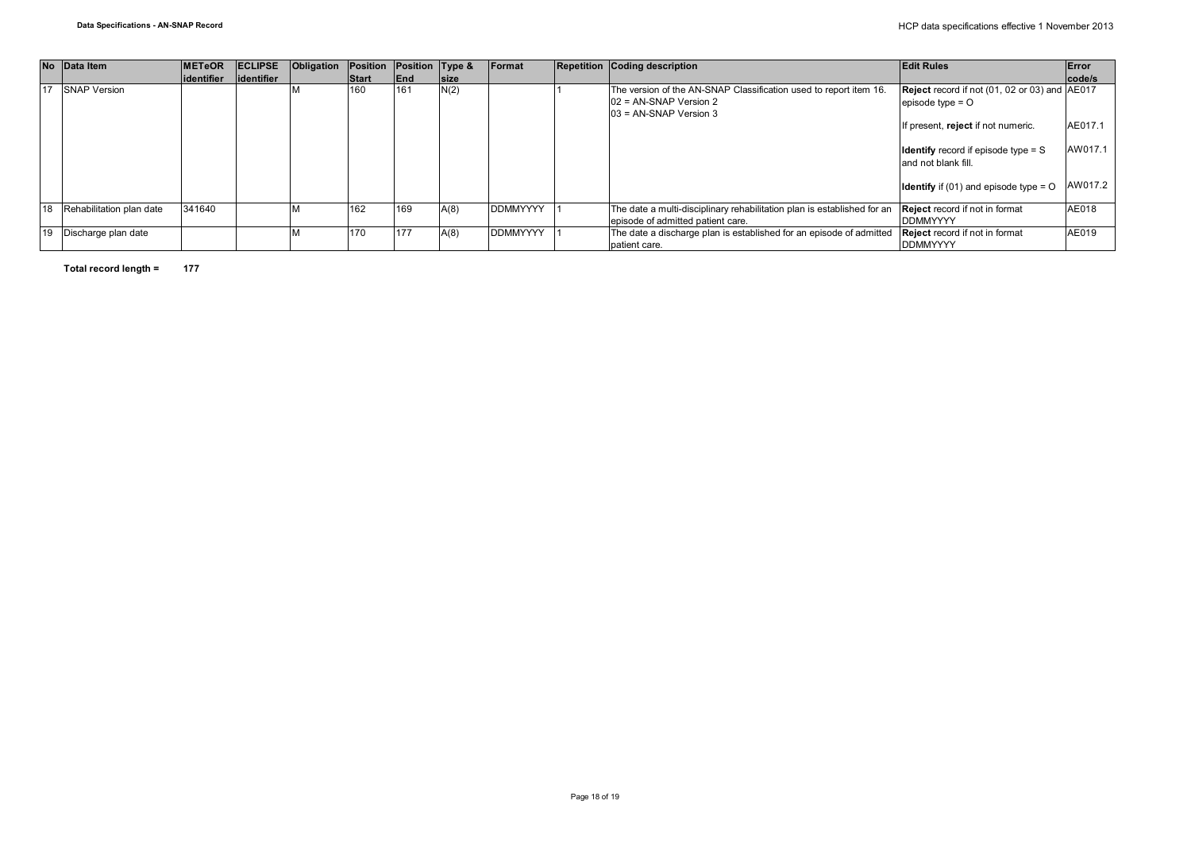|    | No Data Item             | <b>METeOR</b> | <b>IECLIPSE</b> | <b>Obligation Position</b> |              | Position Type & |             | Format          | <b>Repetition Coding description</b>                                                                                  | <b>Edit Rules</b>                                                                | Error   |
|----|--------------------------|---------------|-----------------|----------------------------|--------------|-----------------|-------------|-----------------|-----------------------------------------------------------------------------------------------------------------------|----------------------------------------------------------------------------------|---------|
|    |                          | lidentifier   | lidentifier     |                            | <b>Start</b> | <b>IEnd</b>     | <b>Size</b> |                 |                                                                                                                       |                                                                                  | code/s  |
| 17 | <b>SNAP Version</b>      |               |                 |                            | 160          | 161             | N(2)        |                 | The version of the AN-SNAP Classification used to report item 16.<br>02 = AN-SNAP Version 2<br>03 = AN-SNAP Version 3 | <b>Reject</b> record if not (01, 02 or 03) and AE017<br>episode type $=$ $\circ$ |         |
|    |                          |               |                 |                            |              |                 |             |                 |                                                                                                                       | If present, reject if not numeric.                                               | AE017.1 |
|    |                          |               |                 |                            |              |                 |             |                 |                                                                                                                       | <b>Identify</b> record if episode type $=$ S<br>and not blank fill               | AW017.1 |
|    |                          |               |                 |                            |              |                 |             |                 |                                                                                                                       | <b>Identify</b> if (01) and episode type = $\circ$                               | AW017.2 |
|    | Rehabilitation plan date | 341640        |                 |                            | 162          | 169             | A(8)        | <b>DDMMYYYY</b> | The date a multi-disciplinary rehabilitation plan is established for an<br>episode of admitted patient care.          | <b>Reject</b> record if not in format<br><b>DDMMYYYY</b>                         | AE018   |
|    | Discharge plan date      |               |                 |                            | 170          | 177             | A(8)        | <b>DDMMYYYY</b> | The date a discharge plan is established for an episode of admitted<br>patient care.                                  | <b>Reject</b> record if not in format<br><b>DDMMYYYY</b>                         | AE019   |

**Total record length = 177**